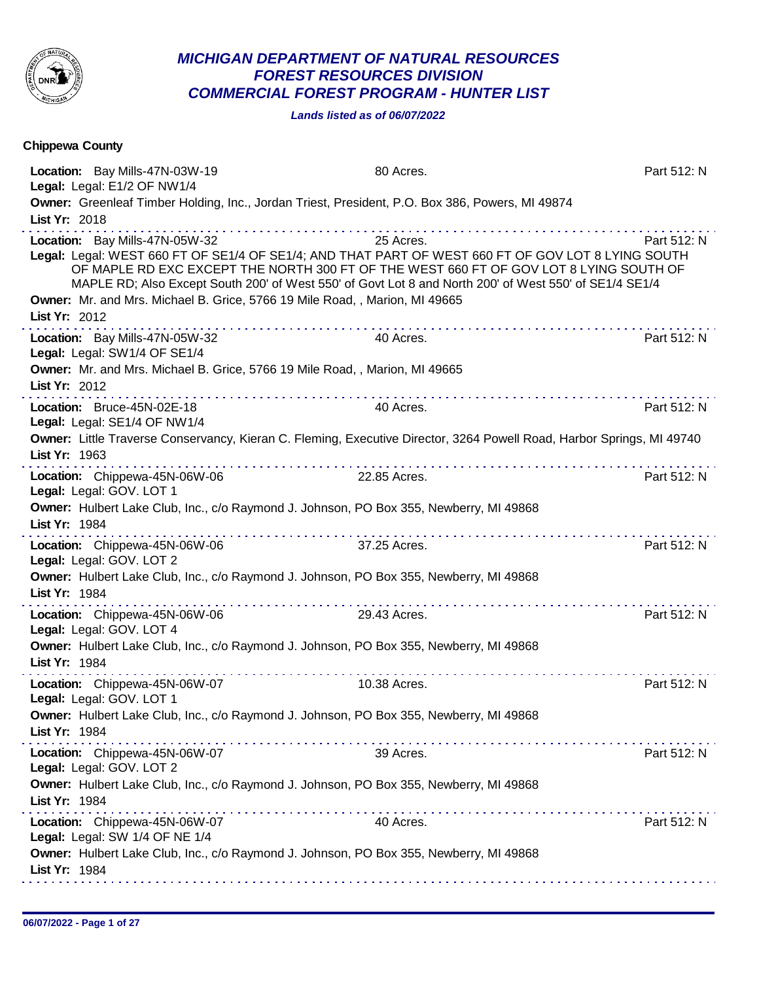

## *MICHIGAN DEPARTMENT OF NATURAL RESOURCES FOREST RESOURCES DIVISION COMMERCIAL FOREST PROGRAM - HUNTER LIST*

*Lands listed as of 06/07/2022*

| Chippewa County                                                                                                                |                                                                                                                                                                                                                                                                                                                     |             |
|--------------------------------------------------------------------------------------------------------------------------------|---------------------------------------------------------------------------------------------------------------------------------------------------------------------------------------------------------------------------------------------------------------------------------------------------------------------|-------------|
| Location: Bay Mills-47N-03W-19<br>Legal: Legal: E1/2 OF NW1/4                                                                  | 80 Acres.                                                                                                                                                                                                                                                                                                           | Part 512: N |
| List Yr: 2018                                                                                                                  | Owner: Greenleaf Timber Holding, Inc., Jordan Triest, President, P.O. Box 386, Powers, MI 49874                                                                                                                                                                                                                     |             |
| Location: Bay Mills-47N-05W-32<br>Owner: Mr. and Mrs. Michael B. Grice, 5766 19 Mile Road, , Marion, MI 49665<br>List Yr: 2012 | 25 Acres.<br>Legal: Legal: WEST 660 FT OF SE1/4 OF SE1/4; AND THAT PART OF WEST 660 FT OF GOV LOT 8 LYING SOUTH<br>OF MAPLE RD EXC EXCEPT THE NORTH 300 FT OF THE WEST 660 FT OF GOV LOT 8 LYING SOUTH OF<br>MAPLE RD; Also Except South 200' of West 550' of Govt Lot 8 and North 200' of West 550' of SE1/4 SE1/4 | Part 512: N |
| Location: Bay Mills-47N-05W-32<br>Legal: Legal: SW1/4 OF SE1/4                                                                 | 40 Acres.                                                                                                                                                                                                                                                                                                           | Part 512: N |
| Owner: Mr. and Mrs. Michael B. Grice, 5766 19 Mile Road, , Marion, MI 49665<br>List Yr: 2012                                   |                                                                                                                                                                                                                                                                                                                     |             |
| Location: Bruce-45N-02E-18<br>Legal: Legal: SE1/4 OF NW1/4                                                                     | 40 Acres.                                                                                                                                                                                                                                                                                                           | Part 512: N |
| List Yr: 1963                                                                                                                  | Owner: Little Traverse Conservancy, Kieran C. Fleming, Executive Director, 3264 Powell Road, Harbor Springs, MI 49740<br>.                                                                                                                                                                                          |             |
| Location: Chippewa-45N-06W-06<br>Legal: Legal: GOV. LOT 1                                                                      | 22.85 Acres.                                                                                                                                                                                                                                                                                                        | Part 512: N |
| List Yr: 1984                                                                                                                  | Owner: Hulbert Lake Club, Inc., c/o Raymond J. Johnson, PO Box 355, Newberry, MI 49868                                                                                                                                                                                                                              |             |
| Location: Chippewa-45N-06W-06<br>Legal: Legal: GOV. LOT 2                                                                      | 37.25 Acres.                                                                                                                                                                                                                                                                                                        | Part 512: N |
| List Yr: 1984                                                                                                                  | Owner: Hulbert Lake Club, Inc., c/o Raymond J. Johnson, PO Box 355, Newberry, MI 49868                                                                                                                                                                                                                              |             |
| Location: Chippewa-45N-06W-06<br>Legal: Legal: GOV. LOT 4                                                                      | 29.43 Acres.                                                                                                                                                                                                                                                                                                        | Part 512: N |
| List Yr: 1984                                                                                                                  | Owner: Hulbert Lake Club, Inc., c/o Raymond J. Johnson, PO Box 355, Newberry, MI 49868                                                                                                                                                                                                                              |             |
| Location: Chippewa-45N-06W-07<br>Legal: Legal: GOV. LOT 1                                                                      | 10.38 Acres.                                                                                                                                                                                                                                                                                                        | Part 512: N |
| List Yr: 1984                                                                                                                  | Owner: Hulbert Lake Club, Inc., c/o Raymond J. Johnson, PO Box 355, Newberry, MI 49868                                                                                                                                                                                                                              |             |
| Location: Chippewa-45N-06W-07<br>Legal: Legal: GOV. LOT 2                                                                      | 39 Acres.                                                                                                                                                                                                                                                                                                           | Part 512: N |
| List Yr: 1984                                                                                                                  | Owner: Hulbert Lake Club, Inc., c/o Raymond J. Johnson, PO Box 355, Newberry, MI 49868                                                                                                                                                                                                                              |             |
| Location: Chippewa-45N-06W-07<br>Legal: Legal: SW 1/4 OF NE 1/4                                                                | 40 Acres.                                                                                                                                                                                                                                                                                                           | Part 512: N |
| List Yr: 1984                                                                                                                  | Owner: Hulbert Lake Club, Inc., c/o Raymond J. Johnson, PO Box 355, Newberry, MI 49868                                                                                                                                                                                                                              |             |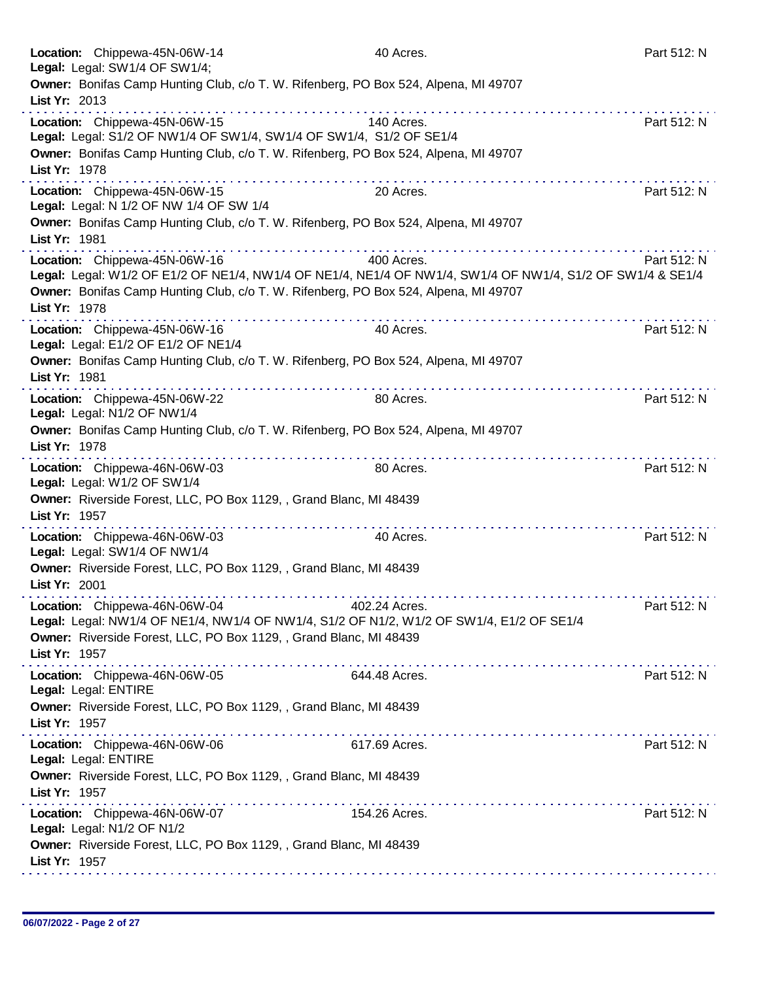|               | Location: Chippewa-45N-06W-14<br>Legal: Legal: SW1/4 OF SW1/4;                                | 40 Acres.                                                                                                                | Part 512: N |
|---------------|-----------------------------------------------------------------------------------------------|--------------------------------------------------------------------------------------------------------------------------|-------------|
|               | Owner: Bonifas Camp Hunting Club, c/o T. W. Rifenberg, PO Box 524, Alpena, MI 49707           |                                                                                                                          |             |
| List Yr: 2013 |                                                                                               |                                                                                                                          |             |
|               | Location: Chippewa-45N-06W-15                                                                 | 140 Acres.                                                                                                               | Part 512: N |
|               | Legal: Legal: S1/2 OF NW1/4 OF SW1/4, SW1/4 OF SW1/4, S1/2 OF SE1/4                           |                                                                                                                          |             |
| List Yr: 1978 | Owner: Bonifas Camp Hunting Club, c/o T. W. Rifenberg, PO Box 524, Alpena, MI 49707           |                                                                                                                          | .           |
|               | Location: Chippewa-45N-06W-15<br>Legal: Legal: N 1/2 OF NW 1/4 OF SW 1/4                      | 20 Acres.                                                                                                                | Part 512: N |
| List Yr: 1981 | Owner: Bonifas Camp Hunting Club, c/o T. W. Rifenberg, PO Box 524, Alpena, MI 49707           |                                                                                                                          |             |
|               | Location: Chippewa-45N-06W-16                                                                 | 400 Acres.<br>Legal: Legal: W1/2 OF E1/2 OF NE1/4, NW1/4 OF NE1/4, NE1/4 OF NW1/4, SW1/4 OF NW1/4, S1/2 OF SW1/4 & SE1/4 | Part 512: N |
| List Yr: 1978 | Owner: Bonifas Camp Hunting Club, c/o T. W. Rifenberg, PO Box 524, Alpena, MI 49707           |                                                                                                                          | .           |
|               | Location: Chippewa-45N-06W-16<br>Legal: Legal: E1/2 OF E1/2 OF NE1/4                          | 40 Acres.                                                                                                                | Part 512: N |
| List Yr: 1981 | Owner: Bonifas Camp Hunting Club, c/o T. W. Rifenberg, PO Box 524, Alpena, MI 49707           |                                                                                                                          | <u>.</u>    |
|               | Location: Chippewa-45N-06W-22<br>Legal: Legal: N1/2 OF NW1/4                                  | 80 Acres.                                                                                                                | Part 512: N |
| List Yr: 1978 | Owner: Bonifas Camp Hunting Club, c/o T. W. Rifenberg, PO Box 524, Alpena, MI 49707           |                                                                                                                          |             |
|               | Location: Chippewa-46N-06W-03<br>Legal: Legal: W1/2 OF SW1/4                                  | 80 Acres.                                                                                                                | Part 512: N |
| List Yr: 1957 | Owner: Riverside Forest, LLC, PO Box 1129, , Grand Blanc, MI 48439                            |                                                                                                                          |             |
|               | Location: Chippewa-46N-06W-03<br>Legal: Legal: SW1/4 OF NW1/4                                 | 40 Acres.                                                                                                                | Part 512: N |
| List Yr: 2001 | Owner: Riverside Forest, LLC, PO Box 1129, , Grand Blanc, MI 48439                            |                                                                                                                          |             |
|               | Location: Chippewa-46N-06W-04                                                                 | 402.24 Acres.<br>Legal: Legal: NW1/4 OF NE1/4, NW1/4 OF NW1/4, S1/2 OF N1/2, W1/2 OF SW1/4, E1/2 OF SE1/4                | Part 512: N |
| List Yr: 1957 | Owner: Riverside Forest, LLC, PO Box 1129, , Grand Blanc, MI 48439                            |                                                                                                                          |             |
|               | a construction and a construction of<br>Location: Chippewa-46N-06W-05<br>Legal: Legal: ENTIRE | 644.48 Acres.                                                                                                            | Part 512: N |
| List Yr: 1957 | Owner: Riverside Forest, LLC, PO Box 1129, , Grand Blanc, MI 48439                            |                                                                                                                          |             |
|               | Location: Chippewa-46N-06W-06<br>Legal: Legal: ENTIRE                                         | 617.69 Acres.                                                                                                            | Part 512: N |
| List Yr: 1957 | Owner: Riverside Forest, LLC, PO Box 1129, , Grand Blanc, MI 48439                            |                                                                                                                          |             |
|               | Location: Chippewa-46N-06W-07<br>Legal: Legal: N1/2 OF N1/2                                   | 154.26 Acres.                                                                                                            | Part 512: N |
| List Yr: 1957 | Owner: Riverside Forest, LLC, PO Box 1129, , Grand Blanc, MI 48439                            |                                                                                                                          |             |
|               |                                                                                               |                                                                                                                          |             |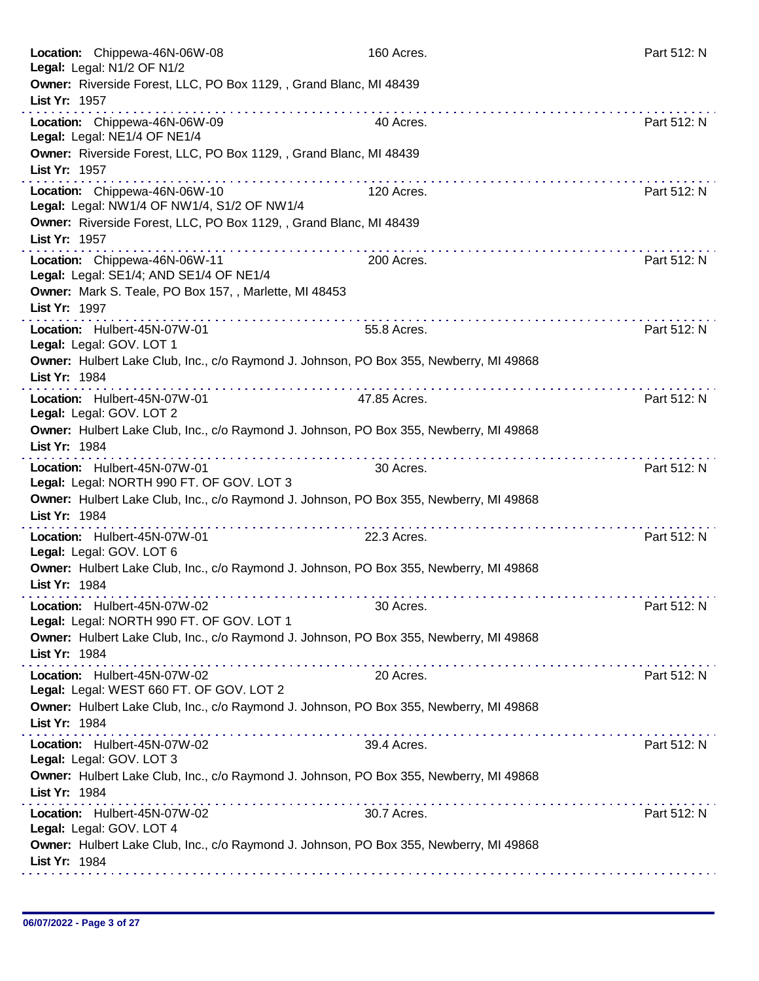| Location: Chippewa-46N-06W-08<br>Legal: Legal: N1/2 OF N1/2                                             | 160 Acres.                                  | Part 512: N |
|---------------------------------------------------------------------------------------------------------|---------------------------------------------|-------------|
| Owner: Riverside Forest, LLC, PO Box 1129, , Grand Blanc, MI 48439<br>List Yr: 1957                     |                                             |             |
| Location: Chippewa-46N-06W-09<br>Legal: Legal: NE1/4 OF NE1/4                                           | 40 Acres.                                   | Part 512: N |
| Owner: Riverside Forest, LLC, PO Box 1129, , Grand Blanc, MI 48439<br>List Yr: 1957                     |                                             |             |
| Location: Chippewa-46N-06W-10<br>Legal: Legal: NW1/4 OF NW1/4, S1/2 OF NW1/4                            | 120 Acres.                                  | Part 512: N |
| Owner: Riverside Forest, LLC, PO Box 1129, , Grand Blanc, MI 48439<br>List Yr: 1957                     |                                             |             |
| Location: Chippewa-46N-06W-11<br>Legal: Legal: SE1/4; AND SE1/4 OF NE1/4                                | 200 Acres.                                  | Part 512: N |
| Owner: Mark S. Teale, PO Box 157, , Marlette, MI 48453<br>List Yr: 1997                                 |                                             |             |
| Location: Hulbert-45N-07W-01<br>Legal: Legal: GOV. LOT 1                                                | 55.8 Acres.                                 | Part 512: N |
| Owner: Hulbert Lake Club, Inc., c/o Raymond J. Johnson, PO Box 355, Newberry, MI 49868<br>List Yr: 1984 |                                             |             |
| Location: Hulbert-45N-07W-01<br>Legal: Legal: GOV. LOT 2                                                | 47.85 Acres.                                | Part 512: N |
| Owner: Hulbert Lake Club, Inc., c/o Raymond J. Johnson, PO Box 355, Newberry, MI 49868<br>List Yr: 1984 |                                             |             |
| Location: Hulbert-45N-07W-01<br>Legal: Legal: NORTH 990 FT. OF GOV. LOT 3                               | 30 Acres.                                   | Part 512: N |
| Owner: Hulbert Lake Club, Inc., c/o Raymond J. Johnson, PO Box 355, Newberry, MI 49868<br>List Yr: 1984 |                                             |             |
| Location: Hulbert-45N-07W-01<br>Legal: Legal: GOV. LOT 6                                                | and and and and analysis are<br>22.3 Acres. | Part 512: N |
| Owner: Hulbert Lake Club, Inc., c/o Raymond J. Johnson, PO Box 355, Newberry, MI 49868<br>List Yr: 1984 |                                             |             |
| Location: Hulbert-45N-07W-02<br>Legal: Legal: NORTH 990 FT. OF GOV. LOT 1                               | 30 Acres.                                   | Part 512: N |
| Owner: Hulbert Lake Club, Inc., c/o Raymond J. Johnson, PO Box 355, Newberry, MI 49868<br>List Yr: 1984 |                                             |             |
| Location: Hulbert-45N-07W-02<br>Legal: Legal: WEST 660 FT. OF GOV. LOT 2                                | 20 Acres.                                   | Part 512: N |
| Owner: Hulbert Lake Club, Inc., c/o Raymond J. Johnson, PO Box 355, Newberry, MI 49868<br>List Yr: 1984 |                                             |             |
| Location: Hulbert-45N-07W-02<br>Legal: Legal: GOV. LOT 3                                                | 39.4 Acres.                                 | Part 512: N |
| Owner: Hulbert Lake Club, Inc., c/o Raymond J. Johnson, PO Box 355, Newberry, MI 49868<br>List Yr: 1984 |                                             |             |
| Location: Hulbert-45N-07W-02<br>Legal: Legal: GOV. LOT 4                                                | 30.7 Acres.                                 | Part 512: N |
| Owner: Hulbert Lake Club, Inc., c/o Raymond J. Johnson, PO Box 355, Newberry, MI 49868<br>List Yr: 1984 |                                             |             |
|                                                                                                         |                                             |             |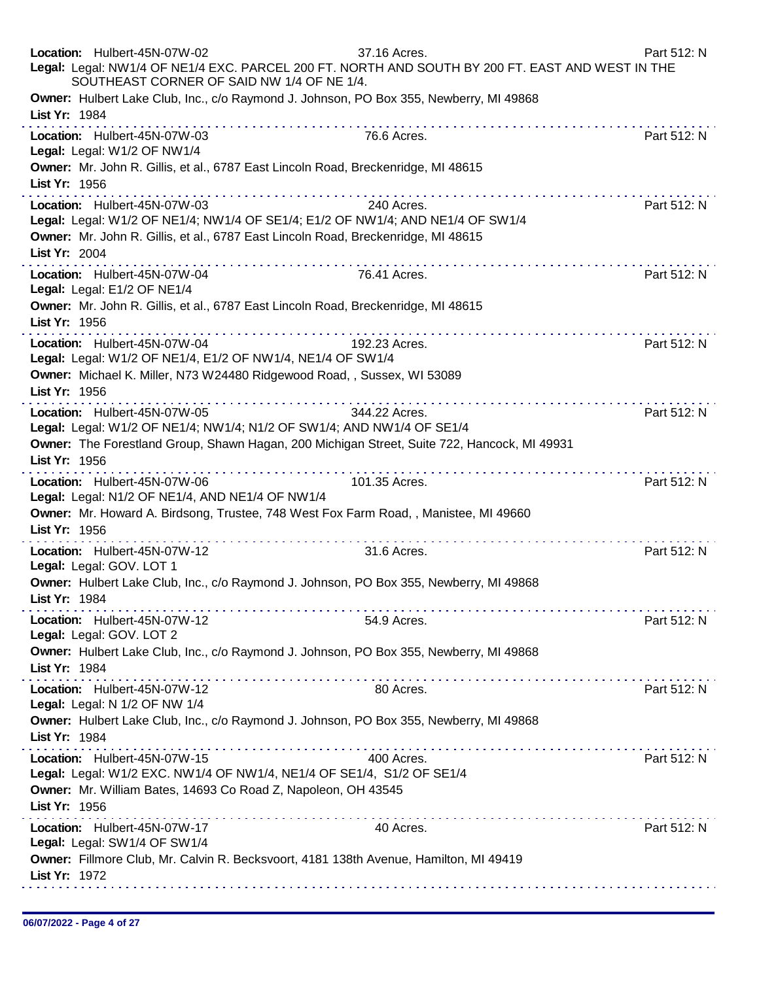|               | Location: Hulbert-45N-07W-02<br>SOUTHEAST CORNER OF SAID NW 1/4 OF NE 1/4.                                                                                                                                                                                                                                                                                                                                                                                                                                                                                                                                                                                        | 37.16 Acres.<br>Legal: Legal: NW1/4 OF NE1/4 EXC. PARCEL 200 FT. NORTH AND SOUTH BY 200 FT. EAST AND WEST IN THE | Part 512: N |
|---------------|-------------------------------------------------------------------------------------------------------------------------------------------------------------------------------------------------------------------------------------------------------------------------------------------------------------------------------------------------------------------------------------------------------------------------------------------------------------------------------------------------------------------------------------------------------------------------------------------------------------------------------------------------------------------|------------------------------------------------------------------------------------------------------------------|-------------|
| List Yr: 1984 | Owner: Hulbert Lake Club, Inc., c/o Raymond J. Johnson, PO Box 355, Newberry, MI 49868                                                                                                                                                                                                                                                                                                                                                                                                                                                                                                                                                                            |                                                                                                                  |             |
|               | Location: Hulbert-45N-07W-03<br>Legal: Legal: W1/2 OF NW1/4                                                                                                                                                                                                                                                                                                                                                                                                                                                                                                                                                                                                       | 76.6 Acres.                                                                                                      | Part 512: N |
| List Yr: 1956 | Owner: Mr. John R. Gillis, et al., 6787 East Lincoln Road, Breckenridge, MI 48615                                                                                                                                                                                                                                                                                                                                                                                                                                                                                                                                                                                 |                                                                                                                  |             |
| List Yr: 2004 | Location: Hulbert-45N-07W-03<br>Legal: Legal: W1/2 OF NE1/4; NW1/4 OF SE1/4; E1/2 OF NW1/4; AND NE1/4 OF SW1/4<br>Owner: Mr. John R. Gillis, et al., 6787 East Lincoln Road, Breckenridge, MI 48615                                                                                                                                                                                                                                                                                                                                                                                                                                                               | 240 Acres.                                                                                                       | Part 512: N |
|               | Location: Hulbert-45N-07W-04<br>Legal: Legal: E1/2 OF NE1/4                                                                                                                                                                                                                                                                                                                                                                                                                                                                                                                                                                                                       | 76.41 Acres.                                                                                                     | Part 512: N |
| List Yr: 1956 | Owner: Mr. John R. Gillis, et al., 6787 East Lincoln Road, Breckenridge, MI 48615                                                                                                                                                                                                                                                                                                                                                                                                                                                                                                                                                                                 |                                                                                                                  |             |
|               | Location: Hulbert-45N-07W-04<br>Legal: Legal: W1/2 OF NE1/4, E1/2 OF NW1/4, NE1/4 OF SW1/4                                                                                                                                                                                                                                                                                                                                                                                                                                                                                                                                                                        | 192.23 Acres.                                                                                                    | Part 512: N |
| List Yr: 1956 | Owner: Michael K. Miller, N73 W24480 Ridgewood Road, , Sussex, WI 53089                                                                                                                                                                                                                                                                                                                                                                                                                                                                                                                                                                                           |                                                                                                                  |             |
| List Yr: 1956 | $\label{eq:2.1} \begin{array}{lllllllllllllllllll} \mathbf{1}_{\mathbf{1}} & \mathbf{1}_{\mathbf{1}} & \mathbf{1}_{\mathbf{1}} & \mathbf{1}_{\mathbf{1}} & \mathbf{1}_{\mathbf{1}} & \mathbf{1}_{\mathbf{1}} & \mathbf{1}_{\mathbf{1}} & \mathbf{1}_{\mathbf{1}} & \mathbf{1}_{\mathbf{1}} & \mathbf{1}_{\mathbf{1}} & \mathbf{1}_{\mathbf{1}} & \mathbf{1}_{\mathbf{1}} & \mathbf{1}_{\mathbf{1}} & \mathbf{1}_{\mathbf{1}} & \mathbf{1}_{\mathbf{1}} &$<br>Location: Hulbert-45N-07W-05<br>Legal: Legal: W1/2 OF NE1/4; NW1/4; N1/2 OF SW1/4; AND NW1/4 OF SE1/4<br>Owner: The Forestland Group, Shawn Hagan, 200 Michigan Street, Suite 722, Hancock, MI 49931 | 344.22 Acres.                                                                                                    | Part 512: N |
|               | Location: Hulbert-45N-07W-06<br>Legal: Legal: N1/2 OF NE1/4, AND NE1/4 OF NW1/4<br>Owner: Mr. Howard A. Birdsong, Trustee, 748 West Fox Farm Road, , Manistee, MI 49660                                                                                                                                                                                                                                                                                                                                                                                                                                                                                           | 101.35 Acres.                                                                                                    | Part 512: N |
| List Yr: 1956 | a construction of the construction of the construction of the construction of the construction of the construction of the construction of the construction of the construction of the construction of the construction of the                                                                                                                                                                                                                                                                                                                                                                                                                                     |                                                                                                                  |             |
|               | Location: Hulbert-45N-07W-12<br>Legal: Legal: GOV. LOT 1                                                                                                                                                                                                                                                                                                                                                                                                                                                                                                                                                                                                          | 31.6 Acres.                                                                                                      | Part 512: N |
| List Yr: 1984 | Owner: Hulbert Lake Club, Inc., c/o Raymond J. Johnson, PO Box 355, Newberry, MI 49868                                                                                                                                                                                                                                                                                                                                                                                                                                                                                                                                                                            |                                                                                                                  |             |
|               | Location: Hulbert-45N-07W-12<br>Legal: Legal: GOV. LOT 2                                                                                                                                                                                                                                                                                                                                                                                                                                                                                                                                                                                                          | 54.9 Acres.                                                                                                      | Part 512: N |
| List Yr: 1984 | Owner: Hulbert Lake Club, Inc., c/o Raymond J. Johnson, PO Box 355, Newberry, MI 49868                                                                                                                                                                                                                                                                                                                                                                                                                                                                                                                                                                            |                                                                                                                  |             |
|               | Location: Hulbert-45N-07W-12<br>Legal: Legal: N 1/2 OF NW 1/4                                                                                                                                                                                                                                                                                                                                                                                                                                                                                                                                                                                                     | 80 Acres.                                                                                                        | Part 512: N |
| List Yr: 1984 | Owner: Hulbert Lake Club, Inc., c/o Raymond J. Johnson, PO Box 355, Newberry, MI 49868                                                                                                                                                                                                                                                                                                                                                                                                                                                                                                                                                                            |                                                                                                                  |             |
| List Yr: 1956 | Location: Hulbert-45N-07W-15<br>Legal: Legal: W1/2 EXC. NW1/4 OF NW1/4, NE1/4 OF SE1/4, S1/2 OF SE1/4<br>Owner: Mr. William Bates, 14693 Co Road Z, Napoleon, OH 43545                                                                                                                                                                                                                                                                                                                                                                                                                                                                                            | 400 Acres.                                                                                                       | Part 512: N |
|               | Location: Hulbert-45N-07W-17<br>Legal: Legal: SW1/4 OF SW1/4                                                                                                                                                                                                                                                                                                                                                                                                                                                                                                                                                                                                      | 40 Acres.                                                                                                        | Part 512: N |
| List Yr: 1972 | Owner: Fillmore Club, Mr. Calvin R. Becksvoort, 4181 138th Avenue, Hamilton, MI 49419                                                                                                                                                                                                                                                                                                                                                                                                                                                                                                                                                                             |                                                                                                                  |             |
|               |                                                                                                                                                                                                                                                                                                                                                                                                                                                                                                                                                                                                                                                                   |                                                                                                                  |             |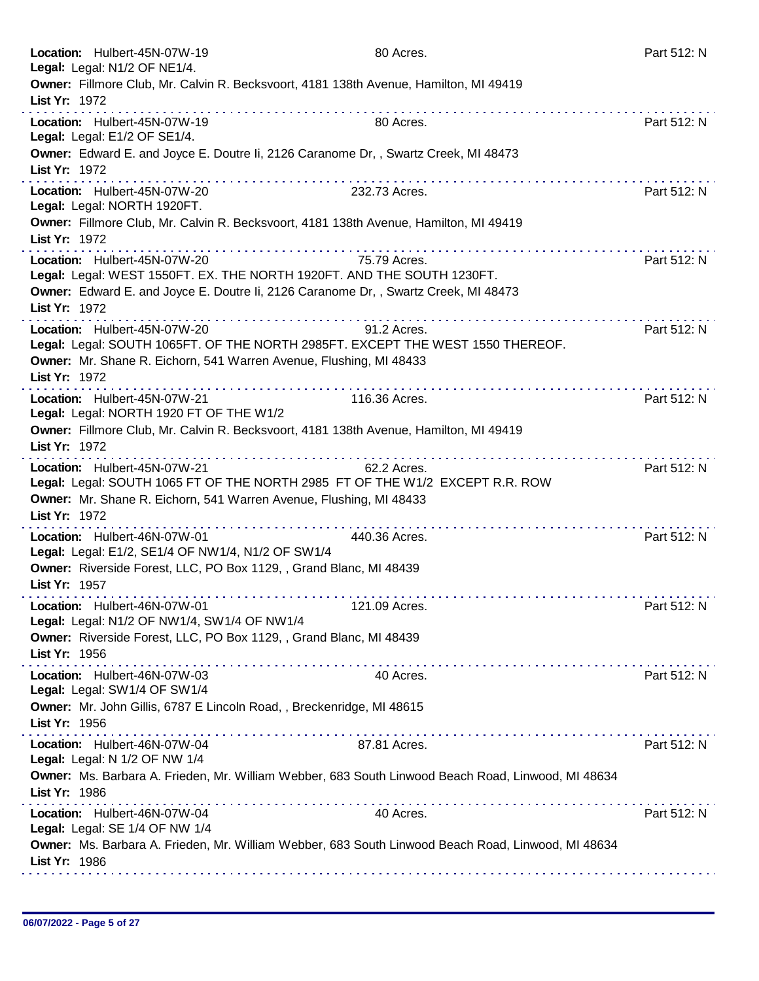| Location: Hulbert-45N-07W-19<br>Legal: Legal: N1/2 OF NE1/4.                      | 80 Acres.                                                                                                                                                           | Part 512: N |
|-----------------------------------------------------------------------------------|---------------------------------------------------------------------------------------------------------------------------------------------------------------------|-------------|
| List Yr: 1972                                                                     | Owner: Fillmore Club, Mr. Calvin R. Becksvoort, 4181 138th Avenue, Hamilton, MI 49419                                                                               |             |
| Location: Hulbert-45N-07W-19<br>Legal: Legal: E1/2 OF SE1/4.                      | .<br>80 Acres.                                                                                                                                                      | Part 512: N |
| List Yr: 1972                                                                     | Owner: Edward E. and Joyce E. Doutre Ii, 2126 Caranome Dr,, Swartz Creek, MI 48473                                                                                  |             |
| Location: Hulbert-45N-07W-20<br>Legal: Legal: NORTH 1920FT.                       | 232.73 Acres.                                                                                                                                                       | Part 512: N |
| List Yr: 1972                                                                     | Owner: Fillmore Club, Mr. Calvin R. Becksvoort, 4181 138th Avenue, Hamilton, MI 49419                                                                               |             |
| Location: Hulbert-45N-07W-20                                                      | 75.79 Acres.<br>Legal: Legal: WEST 1550FT. EX. THE NORTH 1920FT. AND THE SOUTH 1230FT.                                                                              | Part 512: N |
| List Yr: 1972                                                                     | Owner: Edward E. and Joyce E. Doutre Ii, 2126 Caranome Dr, , Swartz Creek, MI 48473                                                                                 |             |
| Location: Hulbert-45N-07W-20                                                      | 91.2 Acres.<br>Legal: Legal: SOUTH 1065FT. OF THE NORTH 2985FT. EXCEPT THE WEST 1550 THEREOF.<br>Owner: Mr. Shane R. Eichorn, 541 Warren Avenue, Flushing, MI 48433 | Part 512: N |
| List Yr: 1972                                                                     |                                                                                                                                                                     |             |
| Location: Hulbert-45N-07W-21<br>Legal: Legal: NORTH 1920 FT OF THE W1/2           | 116.36 Acres.                                                                                                                                                       | Part 512: N |
| List Yr: 1972                                                                     | Owner: Fillmore Club, Mr. Calvin R. Becksvoort, 4181 138th Avenue, Hamilton, MI 49419                                                                               |             |
| Location: Hulbert-45N-07W-21                                                      | 62.2 Acres.<br>Legal: Legal: SOUTH 1065 FT OF THE NORTH 2985 FT OF THE W1/2 EXCEPT R.R. ROW                                                                         | Part 512: N |
| List Yr: 1972                                                                     | Owner: Mr. Shane R. Eichorn, 541 Warren Avenue, Flushing, MI 48433<br>.                                                                                             |             |
| Location: Hulbert-46N-07W-01<br>Legal: Legal: E1/2, SE1/4 OF NW1/4, N1/2 OF SW1/4 | 440.36 Acres.                                                                                                                                                       | Part 512: N |
| List Yr: 1957                                                                     | Owner: Riverside Forest, LLC, PO Box 1129, , Grand Blanc, MI 48439                                                                                                  |             |
| Location: Hulbert-46N-07W-01<br>Legal: Legal: N1/2 OF NW1/4, SW1/4 OF NW1/4       | 121.09 Acres.                                                                                                                                                       | Part 512: N |
| List Yr: 1956                                                                     | Owner: Riverside Forest, LLC, PO Box 1129, , Grand Blanc, MI 48439                                                                                                  |             |
| Location: Hulbert-46N-07W-03<br>Legal: Legal: SW1/4 OF SW1/4                      | 40 Acres.                                                                                                                                                           | Part 512: N |
| List Yr: 1956                                                                     | Owner: Mr. John Gillis, 6787 E Lincoln Road, , Breckenridge, MI 48615                                                                                               |             |
| Location: Hulbert-46N-07W-04<br>Legal: Legal: N 1/2 OF NW 1/4                     | 87.81 Acres.                                                                                                                                                        | Part 512: N |
| List Yr: 1986                                                                     | Owner: Ms. Barbara A. Frieden, Mr. William Webber, 683 South Linwood Beach Road, Linwood, MI 48634                                                                  |             |
| Location: Hulbert-46N-07W-04<br>Legal: Legal: SE 1/4 OF NW 1/4                    | 40 Acres.                                                                                                                                                           | Part 512: N |
| List Yr: 1986                                                                     | Owner: Ms. Barbara A. Frieden, Mr. William Webber, 683 South Linwood Beach Road, Linwood, MI 48634                                                                  |             |
|                                                                                   |                                                                                                                                                                     |             |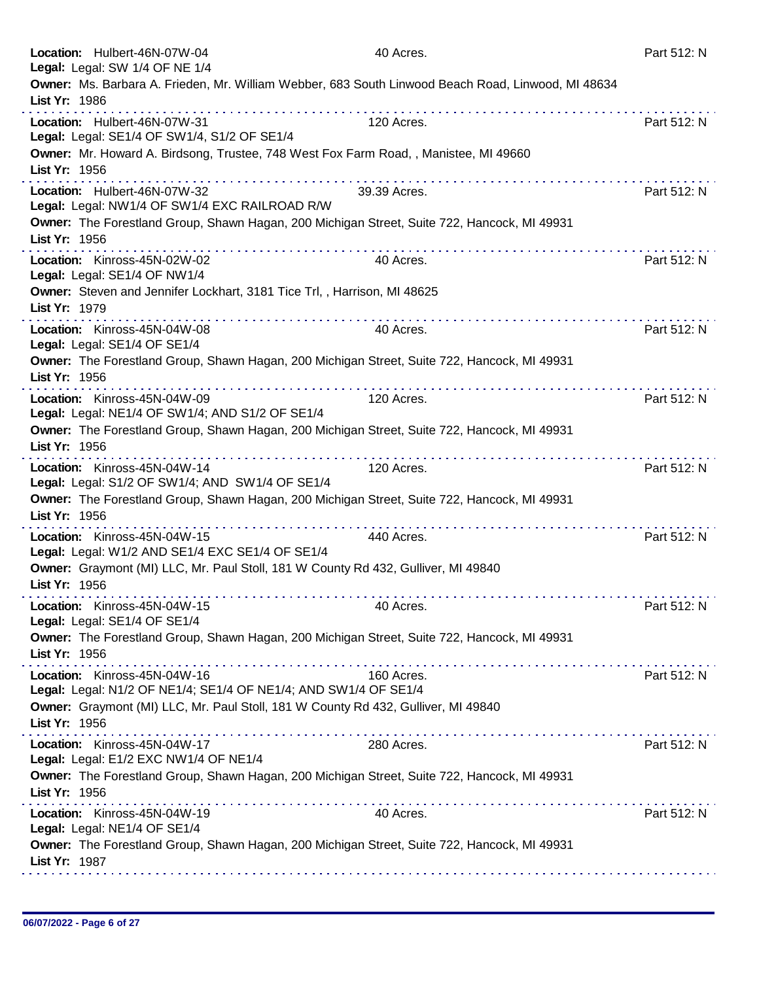| Location: Hulbert-46N-07W-04<br>Legal: Legal: SW 1/4 OF NE 1/4                                                           | 40 Acres.    | Part 512: N                                |
|--------------------------------------------------------------------------------------------------------------------------|--------------|--------------------------------------------|
| Owner: Ms. Barbara A. Frieden, Mr. William Webber, 683 South Linwood Beach Road, Linwood, MI 48634<br>List Yr: 1986<br>. |              |                                            |
| Location: Hulbert-46N-07W-31<br>Legal: Legal: SE1/4 OF SW1/4, S1/2 OF SE1/4                                              | 120 Acres.   | Part 512: N                                |
| Owner: Mr. Howard A. Birdsong, Trustee, 748 West Fox Farm Road, , Manistee, MI 49660<br>List Yr: 1956                    |              |                                            |
| a construction of the construction of<br>Location: Hulbert-46N-07W-32<br>Legal: Legal: NW1/4 OF SW1/4 EXC RAILROAD R/W   | 39.39 Acres. | Part 512: N                                |
| Owner: The Forestland Group, Shawn Hagan, 200 Michigan Street, Suite 722, Hancock, MI 49931<br>List Yr: 1956             |              |                                            |
| Location: Kinross-45N-02W-02<br>Legal: Legal: SE1/4 OF NW1/4                                                             | 40 Acres.    | Part 512: N                                |
| Owner: Steven and Jennifer Lockhart, 3181 Tice Trl,, Harrison, MI 48625<br>List Yr: 1979                                 |              |                                            |
| Location: Kinross-45N-04W-08<br>Legal: Legal: SE1/4 OF SE1/4                                                             | 40 Acres.    | Part 512: N                                |
| Owner: The Forestland Group, Shawn Hagan, 200 Michigan Street, Suite 722, Hancock, MI 49931<br>List Yr: 1956             |              |                                            |
| .<br>Location: Kinross-45N-04W-09<br>Legal: Legal: NE1/4 OF SW1/4; AND S1/2 OF SE1/4                                     | 120 Acres.   | Part 512: N                                |
| Owner: The Forestland Group, Shawn Hagan, 200 Michigan Street, Suite 722, Hancock, MI 49931<br>List Yr: 1956             |              |                                            |
| Location: Kinross-45N-04W-14<br>Legal: Legal: S1/2 OF SW1/4; AND SW1/4 OF SE1/4                                          | 120 Acres.   | Part 512: N                                |
| Owner: The Forestland Group, Shawn Hagan, 200 Michigan Street, Suite 722, Hancock, MI 49931<br>List Yr: 1956             |              | <u>a dia ara-dia ara-dia ara-dia ara-d</u> |
| Location: Kinross-45N-04W-15<br>Legal: Legal: W1/2 AND SE1/4 EXC SE1/4 OF SE1/4                                          | 440 Acres.   | Part 512: N                                |
| Owner: Graymont (MI) LLC, Mr. Paul Stoll, 181 W County Rd 432, Gulliver, MI 49840<br>List Yr: 1956                       |              |                                            |
| Location: Kinross-45N-04W-15<br>Legal: Legal: SE1/4 OF SE1/4                                                             | 40 Acres.    | Part 512: N                                |
| Owner: The Forestland Group, Shawn Hagan, 200 Michigan Street, Suite 722, Hancock, MI 49931<br>List Yr: 1956             |              |                                            |
| Location: Kinross-45N-04W-16<br>Legal: Legal: N1/2 OF NE1/4; SE1/4 OF NE1/4; AND SW1/4 OF SE1/4                          | 160 Acres.   | Part 512: N                                |
| Owner: Graymont (MI) LLC, Mr. Paul Stoll, 181 W County Rd 432, Gulliver, MI 49840<br>List Yr: 1956                       |              |                                            |
| Location: Kinross-45N-04W-17<br>Legal: Legal: E1/2 EXC NW1/4 OF NE1/4                                                    | 280 Acres.   | Part 512: N                                |
| Owner: The Forestland Group, Shawn Hagan, 200 Michigan Street, Suite 722, Hancock, MI 49931<br>List Yr: 1956             |              |                                            |
| Location: Kinross-45N-04W-19<br>Legal: Legal: NE1/4 OF SE1/4                                                             | 40 Acres.    | Part 512: N                                |
| Owner: The Forestland Group, Shawn Hagan, 200 Michigan Street, Suite 722, Hancock, MI 49931<br>List Yr: 1987             |              |                                            |
|                                                                                                                          |              |                                            |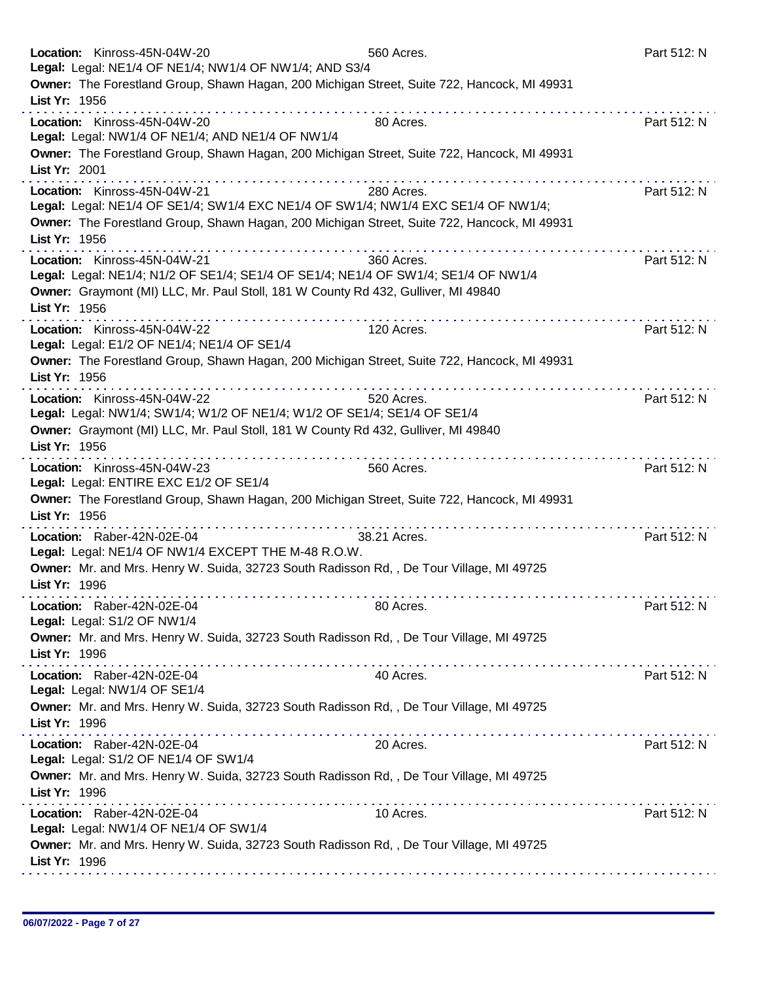| Location: Kinross-45N-04W-20                                                                                                                                                                                                                    | 560 Acres.   | Part 512: N |
|-------------------------------------------------------------------------------------------------------------------------------------------------------------------------------------------------------------------------------------------------|--------------|-------------|
| Legal: Legal: NE1/4 OF NE1/4; NW1/4 OF NW1/4; AND S3/4<br>Owner: The Forestland Group, Shawn Hagan, 200 Michigan Street, Suite 722, Hancock, MI 49931                                                                                           |              |             |
| List Yr: 1956                                                                                                                                                                                                                                   |              |             |
| .<br>Location: Kinross-45N-04W-20                                                                                                                                                                                                               | 80 Acres.    | Part 512: N |
| Legal: Legal: NW1/4 OF NE1/4; AND NE1/4 OF NW1/4                                                                                                                                                                                                |              |             |
| Owner: The Forestland Group, Shawn Hagan, 200 Michigan Street, Suite 722, Hancock, MI 49931                                                                                                                                                     |              |             |
| List Yr: 2001                                                                                                                                                                                                                                   |              |             |
| Location: Kinross-45N-04W-21                                                                                                                                                                                                                    | 280 Acres.   | Part 512: N |
| Legal: Legal: NE1/4 OF SE1/4; SW1/4 EXC NE1/4 OF SW1/4; NW1/4 EXC SE1/4 OF NW1/4;<br>Owner: The Forestland Group, Shawn Hagan, 200 Michigan Street, Suite 722, Hancock, MI 49931                                                                |              |             |
| List Yr: 1956                                                                                                                                                                                                                                   |              |             |
| Location: Kinross-45N-04W-21                                                                                                                                                                                                                    | 360 Acres.   | Part 512: N |
| Legal: Legal: NE1/4; N1/2 OF SE1/4; SE1/4 OF SE1/4; NE1/4 OF SW1/4; SE1/4 OF NW1/4                                                                                                                                                              |              |             |
| Owner: Graymont (MI) LLC, Mr. Paul Stoll, 181 W County Rd 432, Gulliver, MI 49840                                                                                                                                                               |              |             |
| List Yr: 1956                                                                                                                                                                                                                                   | .            |             |
| Location: Kinross-45N-04W-22<br>Legal: Legal: E1/2 OF NE1/4; NE1/4 OF SE1/4                                                                                                                                                                     | 120 Acres.   | Part 512: N |
| Owner: The Forestland Group, Shawn Hagan, 200 Michigan Street, Suite 722, Hancock, MI 49931                                                                                                                                                     |              |             |
| List Yr: 1956                                                                                                                                                                                                                                   |              |             |
| Location: Kinross-45N-04W-22                                                                                                                                                                                                                    | 520 Acres.   | Part 512: N |
| Legal: Legal: NW1/4; SW1/4; W1/2 OF NE1/4; W1/2 OF SE1/4; SE1/4 OF SE1/4                                                                                                                                                                        |              |             |
| Owner: Graymont (MI) LLC, Mr. Paul Stoll, 181 W County Rd 432, Gulliver, MI 49840<br>List Yr: 1956                                                                                                                                              |              |             |
| Location: Kinross-45N-04W-23                                                                                                                                                                                                                    | 560 Acres.   | Part 512: N |
| Legal: Legal: ENTIRE EXC E1/2 OF SE1/4                                                                                                                                                                                                          |              |             |
| Owner: The Forestland Group, Shawn Hagan, 200 Michigan Street, Suite 722, Hancock, MI 49931                                                                                                                                                     |              |             |
| List Yr: 1956                                                                                                                                                                                                                                   |              |             |
| Location: Raber-42N-02E-04                                                                                                                                                                                                                      | 38.21 Acres. | Part 512: N |
| Legal: Legal: NE1/4 OF NW1/4 EXCEPT THE M-48 R.O.W.<br>Owner: Mr. and Mrs. Henry W. Suida, 32723 South Radisson Rd, , De Tour Village, MI 49725                                                                                                 |              |             |
| List Yr: 1996                                                                                                                                                                                                                                   |              |             |
| Location: Raber-42N-02E-04                                                                                                                                                                                                                      | 80 Acres.    | Part 512: N |
| Legal: Legal: S1/2 OF NW1/4                                                                                                                                                                                                                     |              |             |
| Owner: Mr. and Mrs. Henry W. Suida, 32723 South Radisson Rd,, De Tour Village, MI 49725                                                                                                                                                         |              |             |
| List Yr: 1996<br>the second complete service in the second complete service of the service service in the service of the service of the service of the service of the service of the service of the service of the service of the service of th |              |             |
| Location: Raber-42N-02E-04<br>Legal: Legal: NW1/4 OF SE1/4                                                                                                                                                                                      | 40 Acres.    | Part 512: N |
| Owner: Mr. and Mrs. Henry W. Suida, 32723 South Radisson Rd,, De Tour Village, MI 49725                                                                                                                                                         |              |             |
| List Yr: 1996                                                                                                                                                                                                                                   |              |             |
| Location: Raber-42N-02E-04                                                                                                                                                                                                                      | 20 Acres.    | Part 512: N |
| Legal: Legal: S1/2 OF NE1/4 OF SW1/4                                                                                                                                                                                                            |              |             |
| Owner: Mr. and Mrs. Henry W. Suida, 32723 South Radisson Rd,, De Tour Village, MI 49725<br>List Yr: 1996                                                                                                                                        |              |             |
| Location: Raber-42N-02E-04                                                                                                                                                                                                                      | 10 Acres.    | Part 512: N |
| Legal: Legal: NW1/4 OF NE1/4 OF SW1/4                                                                                                                                                                                                           |              |             |
| Owner: Mr. and Mrs. Henry W. Suida, 32723 South Radisson Rd, , De Tour Village, MI 49725                                                                                                                                                        |              |             |
| List Yr: 1996                                                                                                                                                                                                                                   |              |             |
|                                                                                                                                                                                                                                                 |              |             |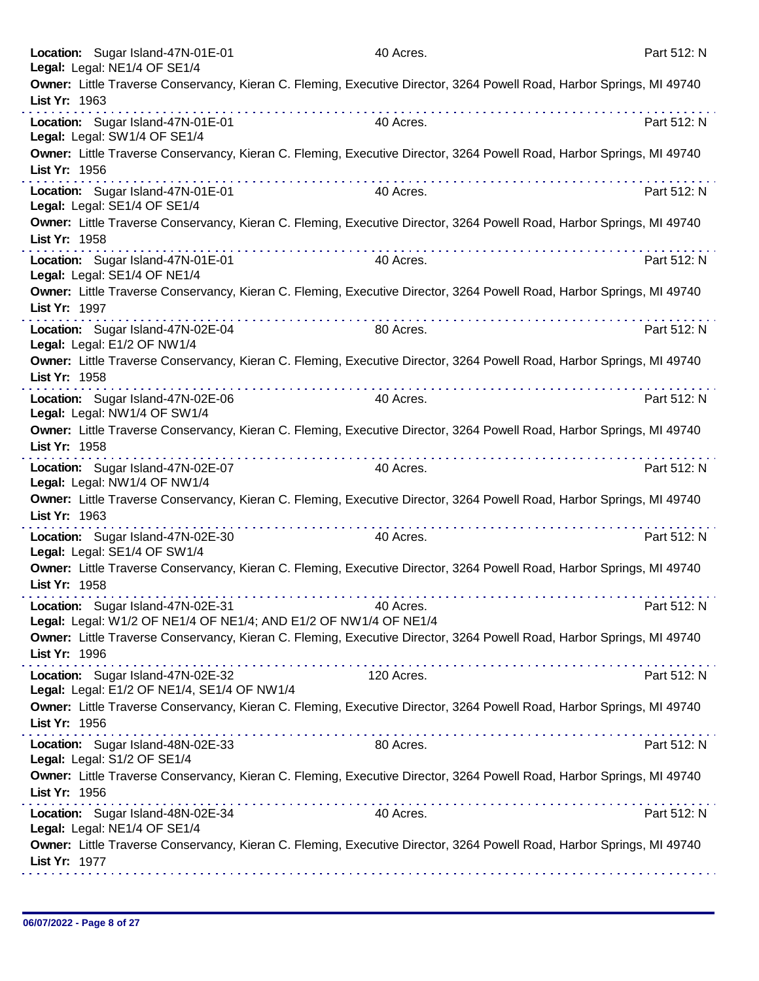|               | Location: Sugar Island-47N-01E-01<br>Legal: Legal: NE1/4 OF SE1/4                                     |                                                                                                                                                                                                                                                                                                               | 40 Acres.                                                                                                             | Part 512: N |
|---------------|-------------------------------------------------------------------------------------------------------|---------------------------------------------------------------------------------------------------------------------------------------------------------------------------------------------------------------------------------------------------------------------------------------------------------------|-----------------------------------------------------------------------------------------------------------------------|-------------|
| List Yr: 1963 |                                                                                                       |                                                                                                                                                                                                                                                                                                               | Owner: Little Traverse Conservancy, Kieran C. Fleming, Executive Director, 3264 Powell Road, Harbor Springs, MI 49740 |             |
|               |                                                                                                       | .                                                                                                                                                                                                                                                                                                             |                                                                                                                       |             |
|               | Location: Sugar Island-47N-01E-01<br>Legal: Legal: SW1/4 OF SE1/4                                     |                                                                                                                                                                                                                                                                                                               | 40 Acres.                                                                                                             | Part 512: N |
| List Yr: 1956 |                                                                                                       |                                                                                                                                                                                                                                                                                                               | Owner: Little Traverse Conservancy, Kieran C. Fleming, Executive Director, 3264 Powell Road, Harbor Springs, MI 49740 |             |
|               | Location: Sugar Island-47N-01E-01<br>Legal: Legal: SE1/4 OF SE1/4                                     |                                                                                                                                                                                                                                                                                                               | 40 Acres.                                                                                                             | Part 512: N |
| List Yr: 1958 |                                                                                                       |                                                                                                                                                                                                                                                                                                               | Owner: Little Traverse Conservancy, Kieran C. Fleming, Executive Director, 3264 Powell Road, Harbor Springs, MI 49740 |             |
|               | Location: Sugar Island-47N-01E-01<br>Legal: Legal: SE1/4 OF NE1/4                                     |                                                                                                                                                                                                                                                                                                               | 40 Acres.                                                                                                             | Part 512: N |
| List Yr: 1997 |                                                                                                       |                                                                                                                                                                                                                                                                                                               | Owner: Little Traverse Conservancy, Kieran C. Fleming, Executive Director, 3264 Powell Road, Harbor Springs, MI 49740 |             |
|               | Location: Sugar Island-47N-02E-04<br>Legal: Legal: E1/2 OF NW1/4                                      | $\mathbf{a} \cdot \mathbf{a} \cdot \mathbf{a} \cdot \mathbf{a} \cdot \mathbf{a} \cdot \mathbf{a} \cdot \mathbf{a} \cdot \mathbf{a} \cdot \mathbf{a} \cdot \mathbf{a} \cdot \mathbf{a} \cdot \mathbf{a} \cdot \mathbf{a} \cdot \mathbf{a} \cdot \mathbf{a} \cdot \mathbf{a} \cdot \mathbf{a} \cdot \mathbf{a}$ | 80 Acres.                                                                                                             | Part 512: N |
| List Yr: 1958 |                                                                                                       |                                                                                                                                                                                                                                                                                                               | Owner: Little Traverse Conservancy, Kieran C. Fleming, Executive Director, 3264 Powell Road, Harbor Springs, MI 49740 |             |
|               | Location: Sugar Island-47N-02E-06<br>Legal: Legal: NW1/4 OF SW1/4                                     |                                                                                                                                                                                                                                                                                                               | 40 Acres.                                                                                                             | Part 512: N |
| List Yr: 1958 |                                                                                                       |                                                                                                                                                                                                                                                                                                               | Owner: Little Traverse Conservancy, Kieran C. Fleming, Executive Director, 3264 Powell Road, Harbor Springs, MI 49740 |             |
|               | Location: Sugar Island-47N-02E-07<br>Legal: Legal: NW1/4 OF NW1/4                                     |                                                                                                                                                                                                                                                                                                               | 40 Acres.                                                                                                             | Part 512: N |
| List Yr: 1963 |                                                                                                       |                                                                                                                                                                                                                                                                                                               | Owner: Little Traverse Conservancy, Kieran C. Fleming, Executive Director, 3264 Powell Road, Harbor Springs, MI 49740 |             |
|               | Location: Sugar Island-47N-02E-30<br>Legal: Legal: SE1/4 OF SW1/4                                     | <u>a la característica de la característica de la característica de la característica de la característica de la </u>                                                                                                                                                                                         | 40 Acres.                                                                                                             | Part 512: N |
| List Yr: 1958 |                                                                                                       |                                                                                                                                                                                                                                                                                                               | Owner: Little Traverse Conservancy, Kieran C. Fleming, Executive Director, 3264 Powell Road, Harbor Springs, MI 49740 |             |
|               | Location: Sugar Island-47N-02E-31<br>Legal: Legal: W1/2 OF NE1/4 OF NE1/4; AND E1/2 OF NW1/4 OF NE1/4 |                                                                                                                                                                                                                                                                                                               | 40 Acres.                                                                                                             | Part 512: N |
| List Yr: 1996 |                                                                                                       |                                                                                                                                                                                                                                                                                                               | Owner: Little Traverse Conservancy, Kieran C. Fleming, Executive Director, 3264 Powell Road, Harbor Springs, MI 49740 |             |
|               | Location: Sugar Island-47N-02E-32<br>Legal: Legal: E1/2 OF NE1/4, SE1/4 OF NW1/4                      |                                                                                                                                                                                                                                                                                                               | 120 Acres.                                                                                                            | Part 512: N |
| List Yr: 1956 |                                                                                                       |                                                                                                                                                                                                                                                                                                               | Owner: Little Traverse Conservancy, Kieran C. Fleming, Executive Director, 3264 Powell Road, Harbor Springs, MI 49740 |             |
|               | Location: Sugar Island-48N-02E-33<br>Legal: Legal: S1/2 OF SE1/4                                      |                                                                                                                                                                                                                                                                                                               | 80 Acres.                                                                                                             | Part 512: N |
| List Yr: 1956 |                                                                                                       |                                                                                                                                                                                                                                                                                                               | Owner: Little Traverse Conservancy, Kieran C. Fleming, Executive Director, 3264 Powell Road, Harbor Springs, MI 49740 |             |
|               | Location: Sugar Island-48N-02E-34<br>Legal: Legal: NE1/4 OF SE1/4                                     |                                                                                                                                                                                                                                                                                                               | 40 Acres.                                                                                                             | Part 512: N |
| List Yr: 1977 |                                                                                                       |                                                                                                                                                                                                                                                                                                               | Owner: Little Traverse Conservancy, Kieran C. Fleming, Executive Director, 3264 Powell Road, Harbor Springs, MI 49740 |             |
|               |                                                                                                       |                                                                                                                                                                                                                                                                                                               |                                                                                                                       |             |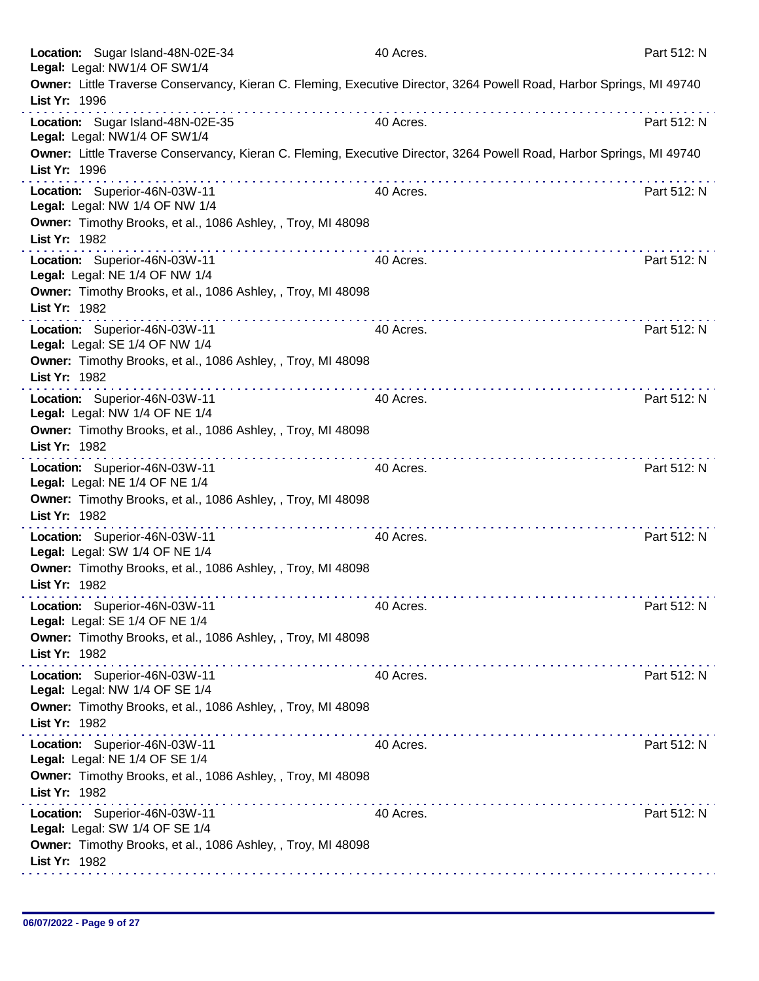|               | Location: Sugar Island-48N-02E-34<br>Legal: Legal: NW1/4 OF SW1/4 | 40 Acres.                                                                                                             | Part 512: N |
|---------------|-------------------------------------------------------------------|-----------------------------------------------------------------------------------------------------------------------|-------------|
| List Yr: 1996 |                                                                   | Owner: Little Traverse Conservancy, Kieran C. Fleming, Executive Director, 3264 Powell Road, Harbor Springs, MI 49740 |             |
|               | Location: Sugar Island-48N-02E-35<br>Legal: Legal: NW1/4 OF SW1/4 | 40 Acres.                                                                                                             | Part 512: N |
| List Yr: 1996 |                                                                   | Owner: Little Traverse Conservancy, Kieran C. Fleming, Executive Director, 3264 Powell Road, Harbor Springs, MI 49740 |             |
|               | Location: Superior-46N-03W-11<br>Legal: Legal: NW 1/4 OF NW 1/4   | .<br>40 Acres.                                                                                                        | Part 512: N |
| List Yr: 1982 | Owner: Timothy Brooks, et al., 1086 Ashley, , Troy, MI 48098      |                                                                                                                       |             |
|               | Location: Superior-46N-03W-11<br>Legal: Legal: NE 1/4 OF NW 1/4   | 40 Acres.                                                                                                             | Part 512: N |
| List Yr: 1982 | Owner: Timothy Brooks, et al., 1086 Ashley, , Troy, MI 48098      |                                                                                                                       |             |
|               | Location: Superior-46N-03W-11<br>Legal: Legal: SE 1/4 OF NW 1/4   | 40 Acres.                                                                                                             | Part 512: N |
| List Yr: 1982 | Owner: Timothy Brooks, et al., 1086 Ashley, , Troy, MI 48098      |                                                                                                                       |             |
|               | Location: Superior-46N-03W-11<br>Legal: Legal: NW 1/4 OF NE 1/4   | 40 Acres.                                                                                                             | Part 512: N |
| List Yr: 1982 | Owner: Timothy Brooks, et al., 1086 Ashley, , Troy, MI 48098      |                                                                                                                       |             |
|               | Location: Superior-46N-03W-11<br>Legal: Legal: NE 1/4 OF NE 1/4   | 40 Acres.                                                                                                             | Part 512: N |
| List Yr: 1982 | Owner: Timothy Brooks, et al., 1086 Ashley, , Troy, MI 48098<br>. |                                                                                                                       |             |
|               | Location: Superior-46N-03W-11<br>Legal: Legal: SW 1/4 OF NE 1/4   | 40 Acres.                                                                                                             | Part 512: N |
| List Yr: 1982 | Owner: Timothy Brooks, et al., 1086 Ashley, , Troy, MI 48098<br>. |                                                                                                                       |             |
|               | Location: Superior-46N-03W-11<br>Legal: Legal: SE 1/4 OF NE 1/4   | 40 Acres.                                                                                                             | Part 512: N |
| List Yr: 1982 | Owner: Timothy Brooks, et al., 1086 Ashley, , Troy, MI 48098      |                                                                                                                       |             |
|               | Location: Superior-46N-03W-11<br>Legal: Legal: NW 1/4 OF SE 1/4   | 40 Acres.                                                                                                             | Part 512: N |
| List Yr: 1982 | Owner: Timothy Brooks, et al., 1086 Ashley, , Troy, MI 48098      |                                                                                                                       |             |
|               | Location: Superior-46N-03W-11<br>Legal: Legal: NE 1/4 OF SE 1/4   | 40 Acres.                                                                                                             | Part 512: N |
| List Yr: 1982 | Owner: Timothy Brooks, et al., 1086 Ashley, , Troy, MI 48098      |                                                                                                                       |             |
|               | Location: Superior-46N-03W-11<br>Legal: Legal: SW 1/4 OF SE 1/4   | 40 Acres.                                                                                                             | Part 512: N |
| List Yr: 1982 | Owner: Timothy Brooks, et al., 1086 Ashley, , Troy, MI 48098      |                                                                                                                       |             |
|               |                                                                   |                                                                                                                       |             |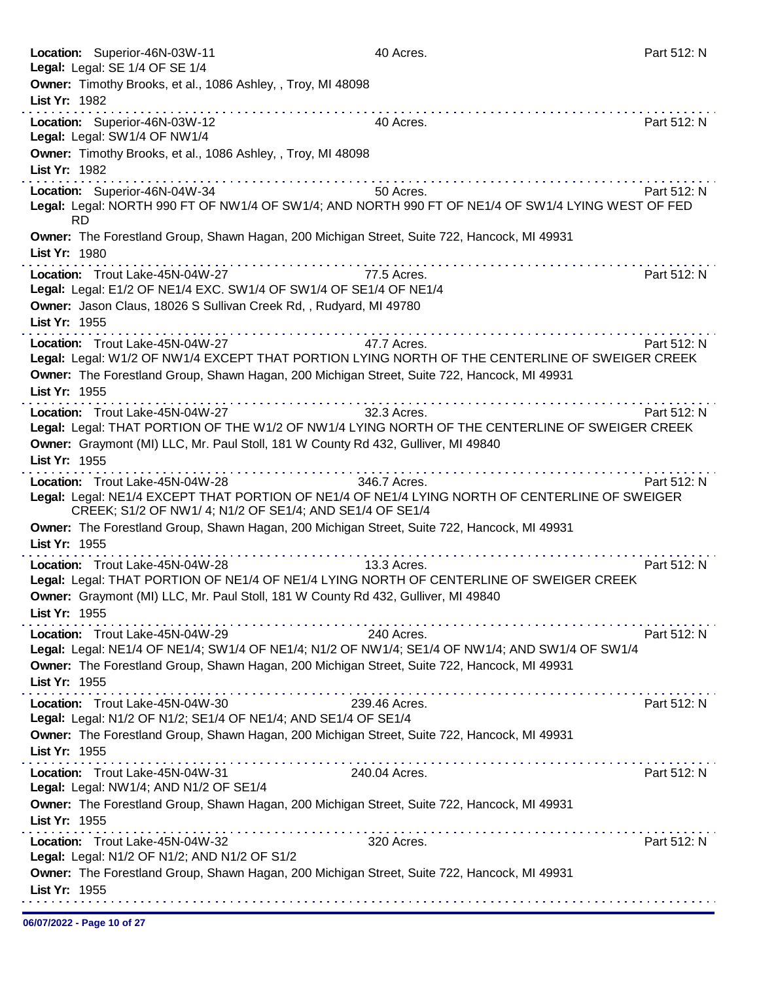| Location: Superior-46N-03W-11<br>Legal: Legal: SE 1/4 OF SE 1/4                                                                                                                                                                                                                                                                                                                                                                                                                                                                                                   | 40 Acres.     | Part 512: N |
|-------------------------------------------------------------------------------------------------------------------------------------------------------------------------------------------------------------------------------------------------------------------------------------------------------------------------------------------------------------------------------------------------------------------------------------------------------------------------------------------------------------------------------------------------------------------|---------------|-------------|
| Owner: Timothy Brooks, et al., 1086 Ashley, , Troy, MI 48098<br>List Yr: 1982                                                                                                                                                                                                                                                                                                                                                                                                                                                                                     |               |             |
| Location: Superior-46N-03W-12<br>Legal: Legal: SW1/4 OF NW1/4                                                                                                                                                                                                                                                                                                                                                                                                                                                                                                     | 40 Acres.     | Part 512: N |
| Owner: Timothy Brooks, et al., 1086 Ashley, , Troy, MI 48098<br>List Yr: 1982                                                                                                                                                                                                                                                                                                                                                                                                                                                                                     |               |             |
| Location: Superior-46N-04W-34<br>Legal: Legal: NORTH 990 FT OF NW1/4 OF SW1/4; AND NORTH 990 FT OF NE1/4 OF SW1/4 LYING WEST OF FED<br><b>RD</b>                                                                                                                                                                                                                                                                                                                                                                                                                  | 50 Acres.     | Part 512: N |
| Owner: The Forestland Group, Shawn Hagan, 200 Michigan Street, Suite 722, Hancock, MI 49931<br>List Yr: 1980                                                                                                                                                                                                                                                                                                                                                                                                                                                      |               |             |
| Location: Trout Lake-45N-04W-27<br>Legal: Legal: E1/2 OF NE1/4 EXC. SW1/4 OF SW1/4 OF SE1/4 OF NE1/4<br>Owner: Jason Claus, 18026 S Sullivan Creek Rd, , Rudyard, MI 49780                                                                                                                                                                                                                                                                                                                                                                                        | 77.5 Acres.   | Part 512: N |
| List Yr: 1955<br>Location: Trout Lake-45N-04W-27                                                                                                                                                                                                                                                                                                                                                                                                                                                                                                                  | 47.7 Acres.   | Part 512: N |
| Legal: Legal: W1/2 OF NW1/4 EXCEPT THAT PORTION LYING NORTH OF THE CENTERLINE OF SWEIGER CREEK<br>Owner: The Forestland Group, Shawn Hagan, 200 Michigan Street, Suite 722, Hancock, MI 49931<br>List Yr: 1955                                                                                                                                                                                                                                                                                                                                                    |               |             |
| Location: Trout Lake-45N-04W-27<br>Legal: Legal: THAT PORTION OF THE W1/2 OF NW1/4 LYING NORTH OF THE CENTERLINE OF SWEIGER CREEK<br>Owner: Graymont (MI) LLC, Mr. Paul Stoll, 181 W County Rd 432, Gulliver, MI 49840                                                                                                                                                                                                                                                                                                                                            | 32.3 Acres.   | Part 512: N |
| List Yr: 1955<br>Location: Trout Lake-45N-04W-28<br>Legal: Legal: NE1/4 EXCEPT THAT PORTION OF NE1/4 OF NE1/4 LYING NORTH OF CENTERLINE OF SWEIGER<br>CREEK; S1/2 OF NW1/ 4; N1/2 OF SE1/4; AND SE1/4 OF SE1/4                                                                                                                                                                                                                                                                                                                                                    | 346.7 Acres.  | Part 512: N |
| Owner: The Forestland Group, Shawn Hagan, 200 Michigan Street, Suite 722, Hancock, MI 49931<br>List Yr: 1955                                                                                                                                                                                                                                                                                                                                                                                                                                                      |               |             |
| Location: Trout Lake-45N-04W-28<br>Legal: Legal: THAT PORTION OF NE1/4 OF NE1/4 LYING NORTH OF CENTERLINE OF SWEIGER CREEK<br>Owner: Graymont (MI) LLC, Mr. Paul Stoll, 181 W County Rd 432, Gulliver, MI 49840<br>List Yr: 1955                                                                                                                                                                                                                                                                                                                                  | 13.3 Acres.   | Part 512: N |
| Location: Trout Lake-45N-04W-29<br>Legal: Legal: NE1/4 OF NE1/4; SW1/4 OF NE1/4; N1/2 OF NW1/4; SE1/4 OF NW1/4; AND SW1/4 OF SW1/4<br>Owner: The Forestland Group, Shawn Hagan, 200 Michigan Street, Suite 722, Hancock, MI 49931<br>List Yr: 1955                                                                                                                                                                                                                                                                                                                | 240 Acres.    | Part 512: N |
| $\mathcal{L}^{\mathcal{A}}(\mathcal{A},\mathcal{A},\mathcal{A},\mathcal{A},\mathcal{A},\mathcal{A},\mathcal{A},\mathcal{A},\mathcal{A},\mathcal{A},\mathcal{A},\mathcal{A},\mathcal{A},\mathcal{A},\mathcal{A},\mathcal{A},\mathcal{A},\mathcal{A},\mathcal{A},\mathcal{A},\mathcal{A},\mathcal{A},\mathcal{A},\mathcal{A},\mathcal{A},\mathcal{A},\mathcal{A},\mathcal{A},\mathcal{A},\mathcal{A},\mathcal{A},\mathcal{A},\mathcal{A},\mathcal{A},\mathcal$<br>Location: Trout Lake-45N-04W-30<br>Legal: Legal: N1/2 OF N1/2; SE1/4 OF NE1/4; AND SE1/4 OF SE1/4 | 239.46 Acres. | Part 512: N |
| Owner: The Forestland Group, Shawn Hagan, 200 Michigan Street, Suite 722, Hancock, MI 49931<br>List Yr: 1955                                                                                                                                                                                                                                                                                                                                                                                                                                                      |               |             |
| . <b>.</b><br>Location: Trout Lake-45N-04W-31<br>Legal: Legal: NW1/4; AND N1/2 OF SE1/4<br>Owner: The Forestland Group, Shawn Hagan, 200 Michigan Street, Suite 722, Hancock, MI 49931                                                                                                                                                                                                                                                                                                                                                                            | 240.04 Acres. | Part 512: N |
| List Yr: 1955                                                                                                                                                                                                                                                                                                                                                                                                                                                                                                                                                     |               |             |
| Location: Trout Lake-45N-04W-32<br>Legal: Legal: N1/2 OF N1/2; AND N1/2 OF S1/2                                                                                                                                                                                                                                                                                                                                                                                                                                                                                   | 320 Acres.    | Part 512: N |
| Owner: The Forestland Group, Shawn Hagan, 200 Michigan Street, Suite 722, Hancock, MI 49931<br>List Yr: 1955                                                                                                                                                                                                                                                                                                                                                                                                                                                      |               |             |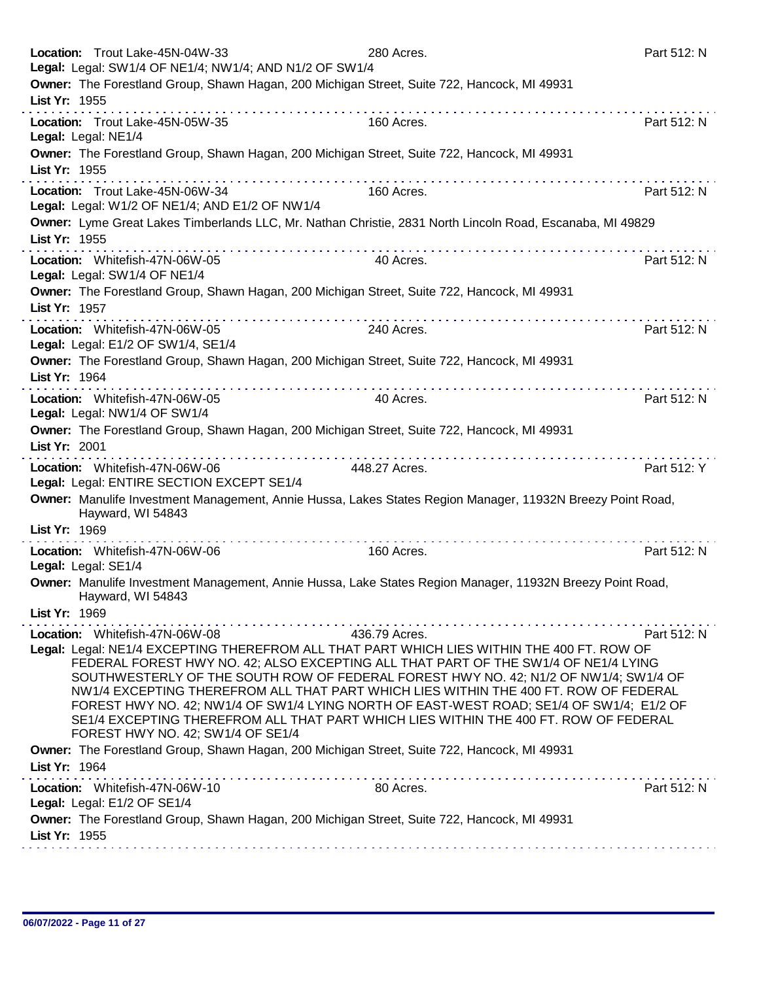|               | Location: Trout Lake-45N-04W-33<br>Legal: Legal: SW1/4 OF NE1/4; NW1/4; AND N1/2 OF SW1/4                                                                                                                                                                                                                                                                                                                                                                                                                                                                                                  | 280 Acres.    | Part 512: N |
|---------------|--------------------------------------------------------------------------------------------------------------------------------------------------------------------------------------------------------------------------------------------------------------------------------------------------------------------------------------------------------------------------------------------------------------------------------------------------------------------------------------------------------------------------------------------------------------------------------------------|---------------|-------------|
|               | Owner: The Forestland Group, Shawn Hagan, 200 Michigan Street, Suite 722, Hancock, MI 49931                                                                                                                                                                                                                                                                                                                                                                                                                                                                                                |               |             |
| List Yr: 1955 |                                                                                                                                                                                                                                                                                                                                                                                                                                                                                                                                                                                            |               |             |
|               | Location: Trout Lake-45N-05W-35<br>Legal: Legal: NE1/4                                                                                                                                                                                                                                                                                                                                                                                                                                                                                                                                     | 160 Acres.    | Part 512: N |
|               | Owner: The Forestland Group, Shawn Hagan, 200 Michigan Street, Suite 722, Hancock, MI 49931                                                                                                                                                                                                                                                                                                                                                                                                                                                                                                |               |             |
| List Yr: 1955 |                                                                                                                                                                                                                                                                                                                                                                                                                                                                                                                                                                                            |               |             |
|               | Location: Trout Lake-45N-06W-34<br>Legal: Legal: W1/2 OF NE1/4; AND E1/2 OF NW1/4                                                                                                                                                                                                                                                                                                                                                                                                                                                                                                          | 160 Acres.    | Part 512: N |
|               | Owner: Lyme Great Lakes Timberlands LLC, Mr. Nathan Christie, 2831 North Lincoln Road, Escanaba, MI 49829                                                                                                                                                                                                                                                                                                                                                                                                                                                                                  |               |             |
| List Yr: 1955 |                                                                                                                                                                                                                                                                                                                                                                                                                                                                                                                                                                                            |               | .           |
|               | Location: Whitefish-47N-06W-05<br>Legal: Legal: SW1/4 OF NE1/4                                                                                                                                                                                                                                                                                                                                                                                                                                                                                                                             | 40 Acres.     | Part 512: N |
| List Yr: 1957 | Owner: The Forestland Group, Shawn Hagan, 200 Michigan Street, Suite 722, Hancock, MI 49931                                                                                                                                                                                                                                                                                                                                                                                                                                                                                                |               |             |
|               | .<br>Location: Whitefish-47N-06W-05<br>Legal: Legal: E1/2 OF SW1/4, SE1/4                                                                                                                                                                                                                                                                                                                                                                                                                                                                                                                  | 240 Acres.    | Part 512: N |
| List Yr: 1964 | Owner: The Forestland Group, Shawn Hagan, 200 Michigan Street, Suite 722, Hancock, MI 49931                                                                                                                                                                                                                                                                                                                                                                                                                                                                                                |               |             |
|               | Location: Whitefish-47N-06W-05<br>Legal: Legal: NW1/4 OF SW1/4                                                                                                                                                                                                                                                                                                                                                                                                                                                                                                                             | 40 Acres.     | Part 512: N |
| List Yr: 2001 | Owner: The Forestland Group, Shawn Hagan, 200 Michigan Street, Suite 722, Hancock, MI 49931                                                                                                                                                                                                                                                                                                                                                                                                                                                                                                |               |             |
|               | .<br>Location: Whitefish-47N-06W-06<br>Legal: Legal: ENTIRE SECTION EXCEPT SE1/4                                                                                                                                                                                                                                                                                                                                                                                                                                                                                                           | 448.27 Acres. | Part 512: Y |
| List Yr: 1969 | Owner: Manulife Investment Management, Annie Hussa, Lakes States Region Manager, 11932N Breezy Point Road,<br>Hayward, WI 54843                                                                                                                                                                                                                                                                                                                                                                                                                                                            |               |             |
|               | Location: Whitefish-47N-06W-06                                                                                                                                                                                                                                                                                                                                                                                                                                                                                                                                                             | 160 Acres.    | Part 512: N |
|               | Legal: Legal: SE1/4                                                                                                                                                                                                                                                                                                                                                                                                                                                                                                                                                                        |               |             |
|               | Owner: Manulife Investment Management, Annie Hussa, Lake States Region Manager, 11932N Breezy Point Road,<br>Hayward, WI 54843                                                                                                                                                                                                                                                                                                                                                                                                                                                             |               |             |
| List Yr: 1969 | .                                                                                                                                                                                                                                                                                                                                                                                                                                                                                                                                                                                          |               |             |
|               | Location: Whitefish-47N-06W-08                                                                                                                                                                                                                                                                                                                                                                                                                                                                                                                                                             | 436.79 Acres. | Part 512: N |
|               | Legal: Legal: NE1/4 EXCEPTING THEREFROM ALL THAT PART WHICH LIES WITHIN THE 400 FT. ROW OF<br>FEDERAL FOREST HWY NO. 42; ALSO EXCEPTING ALL THAT PART OF THE SW1/4 OF NE1/4 LYING<br>SOUTHWESTERLY OF THE SOUTH ROW OF FEDERAL FOREST HWY NO. 42; N1/2 OF NW1/4; SW1/4 OF<br>NW1/4 EXCEPTING THEREFROM ALL THAT PART WHICH LIES WITHIN THE 400 FT. ROW OF FEDERAL<br>FOREST HWY NO. 42; NW1/4 OF SW1/4 LYING NORTH OF EAST-WEST ROAD; SE1/4 OF SW1/4; E1/2 OF<br>SE1/4 EXCEPTING THEREFROM ALL THAT PART WHICH LIES WITHIN THE 400 FT. ROW OF FEDERAL<br>FOREST HWY NO. 42; SW1/4 OF SE1/4 |               |             |
| List Yr: 1964 | Owner: The Forestland Group, Shawn Hagan, 200 Michigan Street, Suite 722, Hancock, MI 49931                                                                                                                                                                                                                                                                                                                                                                                                                                                                                                |               |             |
|               | Location: Whitefish-47N-06W-10<br>Legal: Legal: E1/2 OF SE1/4                                                                                                                                                                                                                                                                                                                                                                                                                                                                                                                              | 80 Acres.     | Part 512: N |
| List Yr: 1955 | Owner: The Forestland Group, Shawn Hagan, 200 Michigan Street, Suite 722, Hancock, MI 49931                                                                                                                                                                                                                                                                                                                                                                                                                                                                                                |               |             |
|               |                                                                                                                                                                                                                                                                                                                                                                                                                                                                                                                                                                                            |               |             |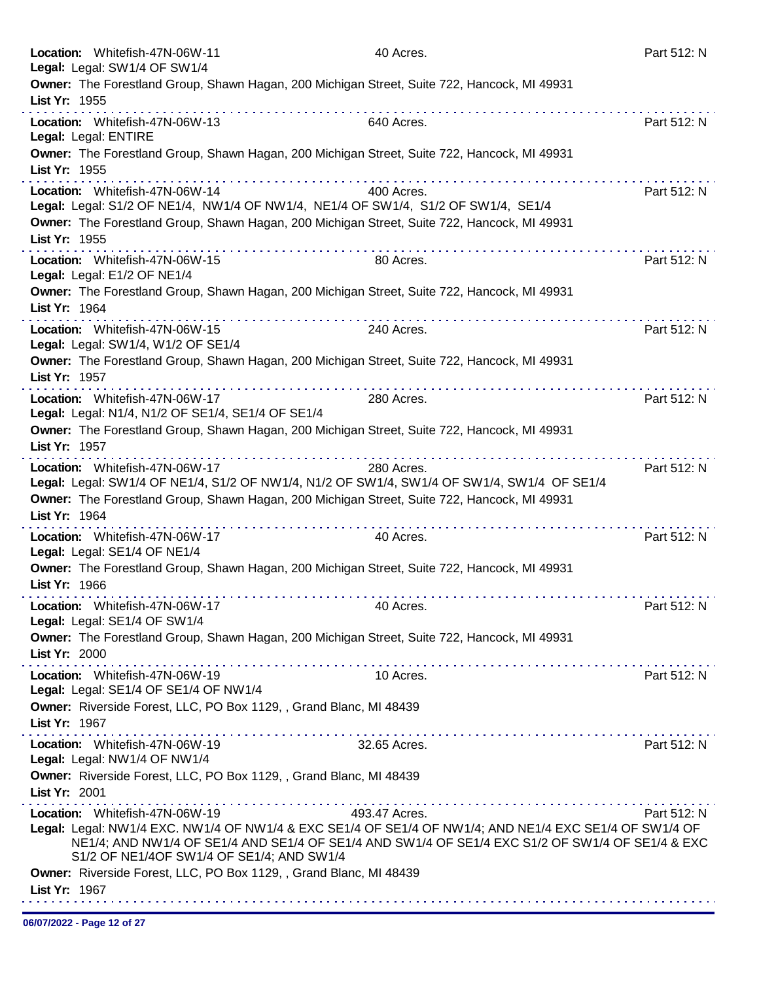|               | Location: Whitefish-47N-06W-11<br>Legal: Legal: SW1/4 OF SW1/4                                                                                                                                                                                                                                                       | 40 Acres.     | Part 512: N                                                                |
|---------------|----------------------------------------------------------------------------------------------------------------------------------------------------------------------------------------------------------------------------------------------------------------------------------------------------------------------|---------------|----------------------------------------------------------------------------|
| List Yr: 1955 | Owner: The Forestland Group, Shawn Hagan, 200 Michigan Street, Suite 722, Hancock, MI 49931                                                                                                                                                                                                                          |               |                                                                            |
|               | Location: Whitefish-47N-06W-13<br>Legal: Legal: ENTIRE                                                                                                                                                                                                                                                               | 640 Acres.    | Part 512: N                                                                |
| List Yr: 1955 | Owner: The Forestland Group, Shawn Hagan, 200 Michigan Street, Suite 722, Hancock, MI 49931                                                                                                                                                                                                                          |               |                                                                            |
|               | Location: Whitefish-47N-06W-14<br>Legal: Legal: S1/2 OF NE1/4, NW1/4 OF NW1/4, NE1/4 OF SW1/4, S1/2 OF SW1/4, SE1/4                                                                                                                                                                                                  | 400 Acres.    | Part 512: N                                                                |
| List Yr: 1955 | Owner: The Forestland Group, Shawn Hagan, 200 Michigan Street, Suite 722, Hancock, MI 49931                                                                                                                                                                                                                          |               |                                                                            |
|               | Location: Whitefish-47N-06W-15<br>Legal: Legal: E1/2 OF NE1/4                                                                                                                                                                                                                                                        | 80 Acres.     | Part 512: N                                                                |
| List Yr: 1964 | Owner: The Forestland Group, Shawn Hagan, 200 Michigan Street, Suite 722, Hancock, MI 49931                                                                                                                                                                                                                          |               |                                                                            |
|               | Location: Whitefish-47N-06W-15<br>Legal: Legal: SW1/4, W1/2 OF SE1/4                                                                                                                                                                                                                                                 | 240 Acres.    | Part 512: N                                                                |
| List Yr: 1957 | Owner: The Forestland Group, Shawn Hagan, 200 Michigan Street, Suite 722, Hancock, MI 49931                                                                                                                                                                                                                          |               |                                                                            |
|               | a construction of the construction of the construction of the construction of the construction of the construction of the construction of the construction of the construction of the construction of the construction of the<br>Location: Whitefish-47N-06W-17<br>Legal: Legal: N1/4, N1/2 OF SE1/4, SE1/4 OF SE1/4 | 280 Acres.    | <u>A construction and a construction and a construction</u><br>Part 512: N |
| List Yr: 1957 | Owner: The Forestland Group, Shawn Hagan, 200 Michigan Street, Suite 722, Hancock, MI 49931                                                                                                                                                                                                                          |               |                                                                            |
| List Yr: 1964 | Location: Whitefish-47N-06W-17<br>Legal: Legal: SW1/4 OF NE1/4, S1/2 OF NW1/4, N1/2 OF SW1/4, SW1/4 OF SW1/4, SW1/4 OF SE1/4<br>Owner: The Forestland Group, Shawn Hagan, 200 Michigan Street, Suite 722, Hancock, MI 49931                                                                                          | 280 Acres.    | Part 512: N                                                                |
|               | Location: Whitefish-47N-06W-17<br>Legal: Legal: SE1/4 OF NE1/4                                                                                                                                                                                                                                                       | 40 Acres.     | Part 512: N                                                                |
| List Yr: 1966 | Owner: The Forestland Group, Shawn Hagan, 200 Michigan Street, Suite 722, Hancock, MI 49931                                                                                                                                                                                                                          |               |                                                                            |
|               | Location: Whitefish-47N-06W-17<br>Legal: Legal: SE1/4 OF SW1/4                                                                                                                                                                                                                                                       | 40 Acres.     | Part 512: N                                                                |
| List Yr: 2000 | Owner: The Forestland Group, Shawn Hagan, 200 Michigan Street, Suite 722, Hancock, MI 49931                                                                                                                                                                                                                          |               |                                                                            |
|               | Location: Whitefish-47N-06W-19<br>Legal: Legal: SE1/4 OF SE1/4 OF NW1/4                                                                                                                                                                                                                                              | 10 Acres.     | Part 512: N                                                                |
| List Yr: 1967 | Owner: Riverside Forest, LLC, PO Box 1129, , Grand Blanc, MI 48439                                                                                                                                                                                                                                                   |               |                                                                            |
|               | Location: Whitefish-47N-06W-19<br>Legal: Legal: NW1/4 OF NW1/4                                                                                                                                                                                                                                                       | 32.65 Acres.  | Part 512: N                                                                |
| List Yr: 2001 | Owner: Riverside Forest, LLC, PO Box 1129, , Grand Blanc, MI 48439                                                                                                                                                                                                                                                   |               |                                                                            |
|               | Location: Whitefish-47N-06W-19<br>Legal: Legal: NW1/4 EXC. NW1/4 OF NW1/4 & EXC SE1/4 OF SE1/4 OF NW1/4; AND NE1/4 EXC SE1/4 OF SW1/4 OF<br>NE1/4; AND NW1/4 OF SE1/4 AND SE1/4 OF SE1/4 AND SW1/4 OF SE1/4 EXC S1/2 OF SW1/4 OF SE1/4 & EXC<br>S1/2 OF NE1/4OF SW1/4 OF SE1/4; AND SW1/4                            | 493.47 Acres. | Part 512: N                                                                |
| List Yr: 1967 | Owner: Riverside Forest, LLC, PO Box 1129, , Grand Blanc, MI 48439                                                                                                                                                                                                                                                   |               |                                                                            |
|               |                                                                                                                                                                                                                                                                                                                      |               |                                                                            |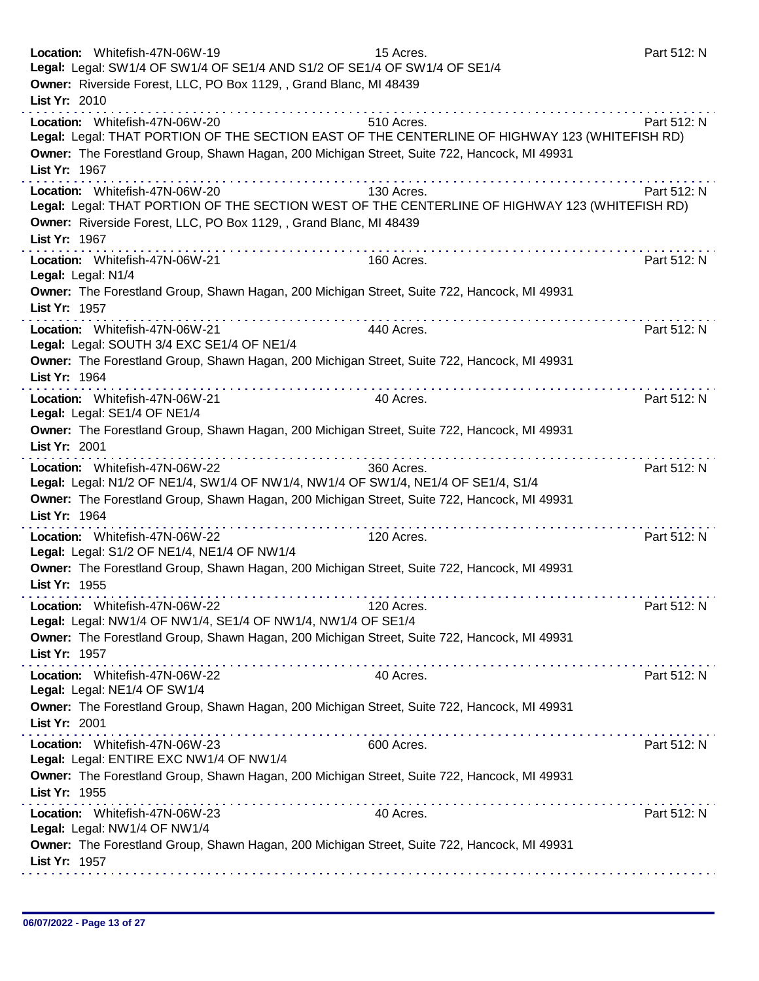| List Yr: 2010<br>Location: Whitefish-47N-06W-20<br>Part 512: N<br>510 Acres.<br>Legal: Legal: THAT PORTION OF THE SECTION EAST OF THE CENTERLINE OF HIGHWAY 123 (WHITEFISH RD)<br>Owner: The Forestland Group, Shawn Hagan, 200 Michigan Street, Suite 722, Hancock, MI 49931<br>List Yr: 1967<br>Location: Whitefish-47N-06W-20<br>130 Acres.<br>Part 512: N<br>Legal: Legal: THAT PORTION OF THE SECTION WEST OF THE CENTERLINE OF HIGHWAY 123 (WHITEFISH RD)<br>Owner: Riverside Forest, LLC, PO Box 1129, , Grand Blanc, MI 48439<br>List Yr: 1967<br>Location: Whitefish-47N-06W-21<br>160 Acres.<br>Part 512: N<br>Legal: Legal: N1/4<br>Owner: The Forestland Group, Shawn Hagan, 200 Michigan Street, Suite 722, Hancock, MI 49931<br>List Yr: 1957<br>Location: Whitefish-47N-06W-21<br>440 Acres.<br>Part 512: N<br>Legal: Legal: SOUTH 3/4 EXC SE1/4 OF NE1/4<br>Owner: The Forestland Group, Shawn Hagan, 200 Michigan Street, Suite 722, Hancock, MI 49931<br>List Yr: 1964<br>Location: Whitefish-47N-06W-21<br>40 Acres.<br>Part 512: N<br>Legal: Legal: SE1/4 OF NE1/4<br>Owner: The Forestland Group, Shawn Hagan, 200 Michigan Street, Suite 722, Hancock, MI 49931<br>List Yr: 2001<br>.<br>.<br>Location: Whitefish-47N-06W-22<br>360 Acres.<br>Part 512: N<br>Legal: Legal: N1/2 OF NE1/4, SW1/4 OF NW1/4, NW1/4 OF SW1/4, NE1/4 OF SE1/4, S1/4<br>Owner: The Forestland Group, Shawn Hagan, 200 Michigan Street, Suite 722, Hancock, MI 49931<br>List Yr: 1964<br>.<br>Location: Whitefish-47N-06W-22<br>120 Acres.<br>Part 512: N<br>Legal: Legal: S1/2 OF NE1/4, NE1/4 OF NW1/4<br>Owner: The Forestland Group, Shawn Hagan, 200 Michigan Street, Suite 722, Hancock, MI 49931<br>List Yr: 1955<br>Location: Whitefish-47N-06W-22<br>Part 512: N<br>120 Acres.<br>Legal: Legal: NW1/4 OF NW1/4, SE1/4 OF NW1/4, NW1/4 OF SE1/4<br>Owner: The Forestland Group, Shawn Hagan, 200 Michigan Street, Suite 722, Hancock, MI 49931<br>List Yr: 1957<br>Location: Whitefish-47N-06W-22<br>40 Acres.<br>Part 512: N<br>Legal: Legal: NE1/4 OF SW1/4<br>Owner: The Forestland Group, Shawn Hagan, 200 Michigan Street, Suite 722, Hancock, MI 49931<br>List Yr: 2001<br>Location: Whitefish-47N-06W-23<br>Part 512: N<br>600 Acres.<br>Legal: Legal: ENTIRE EXC NW1/4 OF NW1/4<br>Owner: The Forestland Group, Shawn Hagan, 200 Michigan Street, Suite 722, Hancock, MI 49931<br>List Yr: 1955<br>Part 512: N<br>Location: Whitefish-47N-06W-23<br>40 Acres.<br>Legal: Legal: NW1/4 OF NW1/4<br>Owner: The Forestland Group, Shawn Hagan, 200 Michigan Street, Suite 722, Hancock, MI 49931<br>List Yr: 1957 | Location: Whitefish-47N-06W-19<br>Legal: Legal: SW1/4 OF SW1/4 OF SE1/4 AND S1/2 OF SE1/4 OF SW1/4 OF SE1/4<br>Owner: Riverside Forest, LLC, PO Box 1129, , Grand Blanc, MI 48439 | 15 Acres. | Part 512: N |
|------------------------------------------------------------------------------------------------------------------------------------------------------------------------------------------------------------------------------------------------------------------------------------------------------------------------------------------------------------------------------------------------------------------------------------------------------------------------------------------------------------------------------------------------------------------------------------------------------------------------------------------------------------------------------------------------------------------------------------------------------------------------------------------------------------------------------------------------------------------------------------------------------------------------------------------------------------------------------------------------------------------------------------------------------------------------------------------------------------------------------------------------------------------------------------------------------------------------------------------------------------------------------------------------------------------------------------------------------------------------------------------------------------------------------------------------------------------------------------------------------------------------------------------------------------------------------------------------------------------------------------------------------------------------------------------------------------------------------------------------------------------------------------------------------------------------------------------------------------------------------------------------------------------------------------------------------------------------------------------------------------------------------------------------------------------------------------------------------------------------------------------------------------------------------------------------------------------------------------------------------------------------------------------------------------------------------------------------------------------------------------------------------------------------------------------------------------------------------------------------------------------------------------------------------------------------------------------------------------------------------|-----------------------------------------------------------------------------------------------------------------------------------------------------------------------------------|-----------|-------------|
|                                                                                                                                                                                                                                                                                                                                                                                                                                                                                                                                                                                                                                                                                                                                                                                                                                                                                                                                                                                                                                                                                                                                                                                                                                                                                                                                                                                                                                                                                                                                                                                                                                                                                                                                                                                                                                                                                                                                                                                                                                                                                                                                                                                                                                                                                                                                                                                                                                                                                                                                                                                                                              |                                                                                                                                                                                   |           |             |
|                                                                                                                                                                                                                                                                                                                                                                                                                                                                                                                                                                                                                                                                                                                                                                                                                                                                                                                                                                                                                                                                                                                                                                                                                                                                                                                                                                                                                                                                                                                                                                                                                                                                                                                                                                                                                                                                                                                                                                                                                                                                                                                                                                                                                                                                                                                                                                                                                                                                                                                                                                                                                              |                                                                                                                                                                                   |           |             |
|                                                                                                                                                                                                                                                                                                                                                                                                                                                                                                                                                                                                                                                                                                                                                                                                                                                                                                                                                                                                                                                                                                                                                                                                                                                                                                                                                                                                                                                                                                                                                                                                                                                                                                                                                                                                                                                                                                                                                                                                                                                                                                                                                                                                                                                                                                                                                                                                                                                                                                                                                                                                                              |                                                                                                                                                                                   |           |             |
|                                                                                                                                                                                                                                                                                                                                                                                                                                                                                                                                                                                                                                                                                                                                                                                                                                                                                                                                                                                                                                                                                                                                                                                                                                                                                                                                                                                                                                                                                                                                                                                                                                                                                                                                                                                                                                                                                                                                                                                                                                                                                                                                                                                                                                                                                                                                                                                                                                                                                                                                                                                                                              |                                                                                                                                                                                   |           |             |
|                                                                                                                                                                                                                                                                                                                                                                                                                                                                                                                                                                                                                                                                                                                                                                                                                                                                                                                                                                                                                                                                                                                                                                                                                                                                                                                                                                                                                                                                                                                                                                                                                                                                                                                                                                                                                                                                                                                                                                                                                                                                                                                                                                                                                                                                                                                                                                                                                                                                                                                                                                                                                              |                                                                                                                                                                                   |           |             |
|                                                                                                                                                                                                                                                                                                                                                                                                                                                                                                                                                                                                                                                                                                                                                                                                                                                                                                                                                                                                                                                                                                                                                                                                                                                                                                                                                                                                                                                                                                                                                                                                                                                                                                                                                                                                                                                                                                                                                                                                                                                                                                                                                                                                                                                                                                                                                                                                                                                                                                                                                                                                                              |                                                                                                                                                                                   |           |             |
|                                                                                                                                                                                                                                                                                                                                                                                                                                                                                                                                                                                                                                                                                                                                                                                                                                                                                                                                                                                                                                                                                                                                                                                                                                                                                                                                                                                                                                                                                                                                                                                                                                                                                                                                                                                                                                                                                                                                                                                                                                                                                                                                                                                                                                                                                                                                                                                                                                                                                                                                                                                                                              |                                                                                                                                                                                   |           |             |
|                                                                                                                                                                                                                                                                                                                                                                                                                                                                                                                                                                                                                                                                                                                                                                                                                                                                                                                                                                                                                                                                                                                                                                                                                                                                                                                                                                                                                                                                                                                                                                                                                                                                                                                                                                                                                                                                                                                                                                                                                                                                                                                                                                                                                                                                                                                                                                                                                                                                                                                                                                                                                              |                                                                                                                                                                                   |           |             |
|                                                                                                                                                                                                                                                                                                                                                                                                                                                                                                                                                                                                                                                                                                                                                                                                                                                                                                                                                                                                                                                                                                                                                                                                                                                                                                                                                                                                                                                                                                                                                                                                                                                                                                                                                                                                                                                                                                                                                                                                                                                                                                                                                                                                                                                                                                                                                                                                                                                                                                                                                                                                                              |                                                                                                                                                                                   |           |             |
|                                                                                                                                                                                                                                                                                                                                                                                                                                                                                                                                                                                                                                                                                                                                                                                                                                                                                                                                                                                                                                                                                                                                                                                                                                                                                                                                                                                                                                                                                                                                                                                                                                                                                                                                                                                                                                                                                                                                                                                                                                                                                                                                                                                                                                                                                                                                                                                                                                                                                                                                                                                                                              |                                                                                                                                                                                   |           |             |
|                                                                                                                                                                                                                                                                                                                                                                                                                                                                                                                                                                                                                                                                                                                                                                                                                                                                                                                                                                                                                                                                                                                                                                                                                                                                                                                                                                                                                                                                                                                                                                                                                                                                                                                                                                                                                                                                                                                                                                                                                                                                                                                                                                                                                                                                                                                                                                                                                                                                                                                                                                                                                              |                                                                                                                                                                                   |           |             |
|                                                                                                                                                                                                                                                                                                                                                                                                                                                                                                                                                                                                                                                                                                                                                                                                                                                                                                                                                                                                                                                                                                                                                                                                                                                                                                                                                                                                                                                                                                                                                                                                                                                                                                                                                                                                                                                                                                                                                                                                                                                                                                                                                                                                                                                                                                                                                                                                                                                                                                                                                                                                                              |                                                                                                                                                                                   |           |             |
|                                                                                                                                                                                                                                                                                                                                                                                                                                                                                                                                                                                                                                                                                                                                                                                                                                                                                                                                                                                                                                                                                                                                                                                                                                                                                                                                                                                                                                                                                                                                                                                                                                                                                                                                                                                                                                                                                                                                                                                                                                                                                                                                                                                                                                                                                                                                                                                                                                                                                                                                                                                                                              |                                                                                                                                                                                   |           |             |
|                                                                                                                                                                                                                                                                                                                                                                                                                                                                                                                                                                                                                                                                                                                                                                                                                                                                                                                                                                                                                                                                                                                                                                                                                                                                                                                                                                                                                                                                                                                                                                                                                                                                                                                                                                                                                                                                                                                                                                                                                                                                                                                                                                                                                                                                                                                                                                                                                                                                                                                                                                                                                              |                                                                                                                                                                                   |           |             |
|                                                                                                                                                                                                                                                                                                                                                                                                                                                                                                                                                                                                                                                                                                                                                                                                                                                                                                                                                                                                                                                                                                                                                                                                                                                                                                                                                                                                                                                                                                                                                                                                                                                                                                                                                                                                                                                                                                                                                                                                                                                                                                                                                                                                                                                                                                                                                                                                                                                                                                                                                                                                                              |                                                                                                                                                                                   |           |             |
|                                                                                                                                                                                                                                                                                                                                                                                                                                                                                                                                                                                                                                                                                                                                                                                                                                                                                                                                                                                                                                                                                                                                                                                                                                                                                                                                                                                                                                                                                                                                                                                                                                                                                                                                                                                                                                                                                                                                                                                                                                                                                                                                                                                                                                                                                                                                                                                                                                                                                                                                                                                                                              |                                                                                                                                                                                   |           |             |
|                                                                                                                                                                                                                                                                                                                                                                                                                                                                                                                                                                                                                                                                                                                                                                                                                                                                                                                                                                                                                                                                                                                                                                                                                                                                                                                                                                                                                                                                                                                                                                                                                                                                                                                                                                                                                                                                                                                                                                                                                                                                                                                                                                                                                                                                                                                                                                                                                                                                                                                                                                                                                              |                                                                                                                                                                                   |           |             |
|                                                                                                                                                                                                                                                                                                                                                                                                                                                                                                                                                                                                                                                                                                                                                                                                                                                                                                                                                                                                                                                                                                                                                                                                                                                                                                                                                                                                                                                                                                                                                                                                                                                                                                                                                                                                                                                                                                                                                                                                                                                                                                                                                                                                                                                                                                                                                                                                                                                                                                                                                                                                                              |                                                                                                                                                                                   |           |             |
|                                                                                                                                                                                                                                                                                                                                                                                                                                                                                                                                                                                                                                                                                                                                                                                                                                                                                                                                                                                                                                                                                                                                                                                                                                                                                                                                                                                                                                                                                                                                                                                                                                                                                                                                                                                                                                                                                                                                                                                                                                                                                                                                                                                                                                                                                                                                                                                                                                                                                                                                                                                                                              |                                                                                                                                                                                   |           |             |
|                                                                                                                                                                                                                                                                                                                                                                                                                                                                                                                                                                                                                                                                                                                                                                                                                                                                                                                                                                                                                                                                                                                                                                                                                                                                                                                                                                                                                                                                                                                                                                                                                                                                                                                                                                                                                                                                                                                                                                                                                                                                                                                                                                                                                                                                                                                                                                                                                                                                                                                                                                                                                              |                                                                                                                                                                                   |           |             |
|                                                                                                                                                                                                                                                                                                                                                                                                                                                                                                                                                                                                                                                                                                                                                                                                                                                                                                                                                                                                                                                                                                                                                                                                                                                                                                                                                                                                                                                                                                                                                                                                                                                                                                                                                                                                                                                                                                                                                                                                                                                                                                                                                                                                                                                                                                                                                                                                                                                                                                                                                                                                                              |                                                                                                                                                                                   |           |             |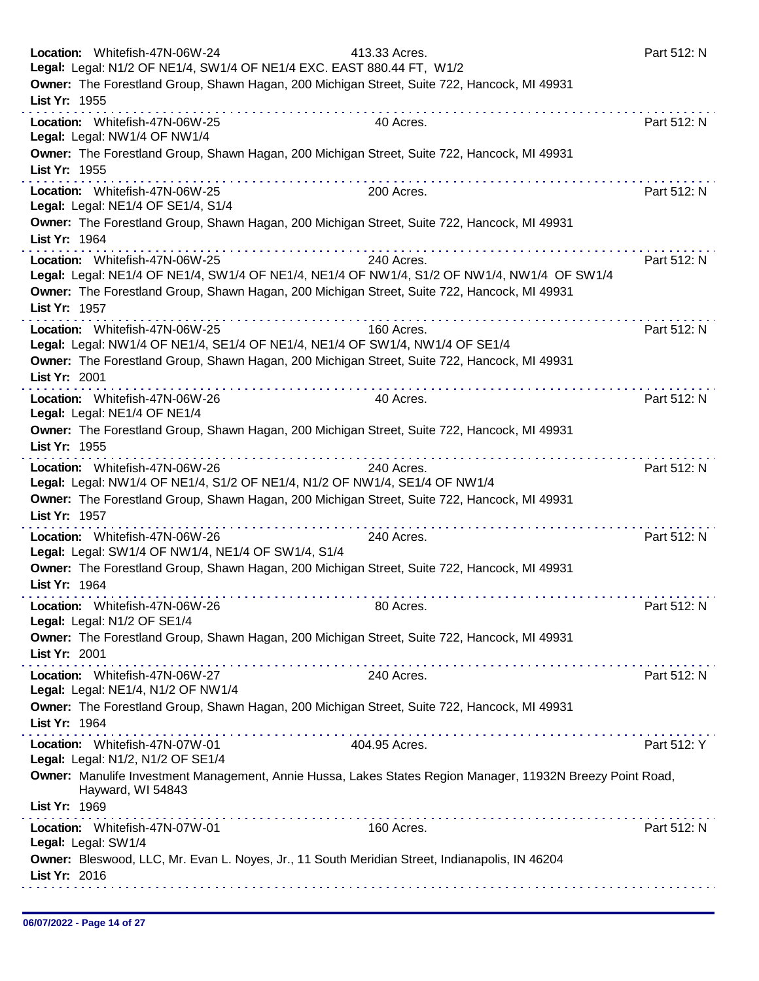| Location: Whitefish-47N-06W-24<br>Legal: Legal: N1/2 OF NE1/4, SW1/4 OF NE1/4 EXC. EAST 880.44 FT, W1/2 | 413.33 Acres.<br>Owner: The Forestland Group, Shawn Hagan, 200 Michigan Street, Suite 722, Hancock, MI 49931                                                                            | Part 512: N |
|---------------------------------------------------------------------------------------------------------|-----------------------------------------------------------------------------------------------------------------------------------------------------------------------------------------|-------------|
| List Yr: 1955                                                                                           |                                                                                                                                                                                         |             |
| Location: Whitefish-47N-06W-25<br>Legal: Legal: NW1/4 OF NW1/4                                          | 40 Acres.                                                                                                                                                                               | Part 512: N |
| List Yr: 1955                                                                                           | Owner: The Forestland Group, Shawn Hagan, 200 Michigan Street, Suite 722, Hancock, MI 49931                                                                                             |             |
| Location: Whitefish-47N-06W-25<br>Legal: Legal: NE1/4 OF SE1/4, S1/4                                    | 200 Acres.                                                                                                                                                                              | Part 512: N |
| List Yr: 1964                                                                                           | Owner: The Forestland Group, Shawn Hagan, 200 Michigan Street, Suite 722, Hancock, MI 49931<br><u>.</u>                                                                                 |             |
| Location: Whitefish-47N-06W-25                                                                          | 240 Acres.<br>Legal: Legal: NE1/4 OF NE1/4, SW1/4 OF NE1/4, NE1/4 OF NW1/4, S1/2 OF NW1/4, NW1/4 OF SW1/4                                                                               | Part 512: N |
| List Yr: 1957                                                                                           | Owner: The Forestland Group, Shawn Hagan, 200 Michigan Street, Suite 722, Hancock, MI 49931                                                                                             |             |
| Location: Whitefish-47N-06W-25                                                                          | 160 Acres.<br>Legal: Legal: NW1/4 OF NE1/4, SE1/4 OF NE1/4, NE1/4 OF SW1/4, NW1/4 OF SE1/4                                                                                              | Part 512: N |
| List Yr: 2001                                                                                           | Owner: The Forestland Group, Shawn Hagan, 200 Michigan Street, Suite 722, Hancock, MI 49931                                                                                             |             |
| Location: Whitefish-47N-06W-26<br>Legal: Legal: NE1/4 OF NE1/4                                          | 40 Acres.                                                                                                                                                                               | Part 512: N |
| List Yr: 1955                                                                                           | Owner: The Forestland Group, Shawn Hagan, 200 Michigan Street, Suite 722, Hancock, MI 49931<br>. <i>.</i> .                                                                             |             |
| Location: Whitefish-47N-06W-26                                                                          | 240 Acres.<br>Legal: Legal: NW1/4 OF NE1/4, S1/2 OF NE1/4, N1/2 OF NW1/4, SE1/4 OF NW1/4<br>Owner: The Forestland Group, Shawn Hagan, 200 Michigan Street, Suite 722, Hancock, MI 49931 | Part 512: N |
| List Yr: 1957                                                                                           |                                                                                                                                                                                         |             |
| Location: Whitefish-47N-06W-26<br>Legal: Legal: SW1/4 OF NW1/4, NE1/4 OF SW1/4, S1/4                    | 240 Acres.                                                                                                                                                                              | Part 512: N |
| List Yr: 1964                                                                                           | Owner: The Forestland Group, Shawn Hagan, 200 Michigan Street, Suite 722, Hancock, MI 49931                                                                                             |             |
| Location: Whitefish-47N-06W-26<br>Legal: Legal: N1/2 OF SE1/4                                           | 80 Acres.                                                                                                                                                                               | Part 512: N |
| List Yr: 2001                                                                                           | Owner: The Forestland Group, Shawn Hagan, 200 Michigan Street, Suite 722, Hancock, MI 49931                                                                                             |             |
| Location: Whitefish-47N-06W-27                                                                          | 240 Acres.                                                                                                                                                                              | Part 512: N |
| Legal: Legal: NE1/4, N1/2 OF NW1/4                                                                      | Owner: The Forestland Group, Shawn Hagan, 200 Michigan Street, Suite 722, Hancock, MI 49931                                                                                             |             |
| List Yr: 1964<br>Location: Whitefish-47N-07W-01                                                         | 404.95 Acres.                                                                                                                                                                           | Part 512: Y |
| Legal: Legal: N1/2, N1/2 OF SE1/4                                                                       | Owner: Manulife Investment Management, Annie Hussa, Lakes States Region Manager, 11932N Breezy Point Road,                                                                              |             |
| Hayward, WI 54843<br>List Yr: 1969                                                                      | .                                                                                                                                                                                       |             |
| Location: Whitefish-47N-07W-01<br>Legal: Legal: SW1/4                                                   | 160 Acres.                                                                                                                                                                              | Part 512: N |
| List Yr: 2016                                                                                           | Owner: Bleswood, LLC, Mr. Evan L. Noyes, Jr., 11 South Meridian Street, Indianapolis, IN 46204                                                                                          |             |
|                                                                                                         |                                                                                                                                                                                         |             |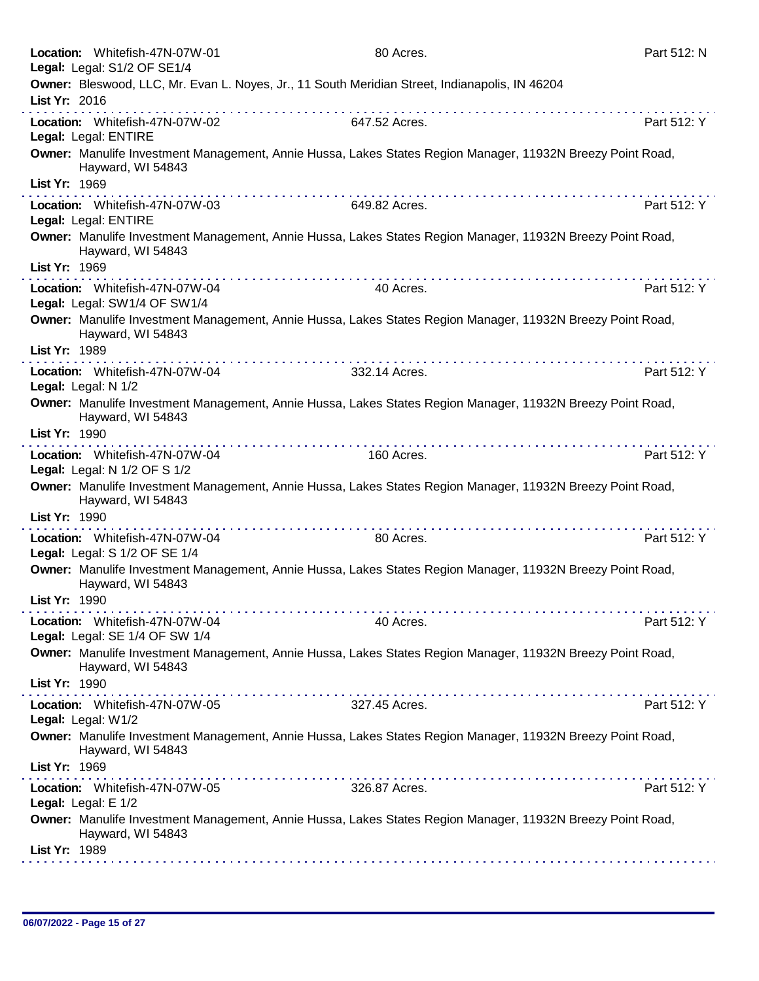|               | Location: Whitefish-47N-07W-01<br>Legal: Legal: S1/2 OF SE1/4    | 80 Acres.                                                                                                                                                                                                                                                                                                                                                                                                                                                                                                                                                               | Part 512: N |
|---------------|------------------------------------------------------------------|-------------------------------------------------------------------------------------------------------------------------------------------------------------------------------------------------------------------------------------------------------------------------------------------------------------------------------------------------------------------------------------------------------------------------------------------------------------------------------------------------------------------------------------------------------------------------|-------------|
| List Yr: 2016 |                                                                  | Owner: Bleswood, LLC, Mr. Evan L. Noyes, Jr., 11 South Meridian Street, Indianapolis, IN 46204                                                                                                                                                                                                                                                                                                                                                                                                                                                                          |             |
|               | Location: Whitefish-47N-07W-02                                   | 647.52 Acres.                                                                                                                                                                                                                                                                                                                                                                                                                                                                                                                                                           | Part 512: Y |
|               | Legal: Legal: ENTIRE                                             | Owner: Manulife Investment Management, Annie Hussa, Lakes States Region Manager, 11932N Breezy Point Road,                                                                                                                                                                                                                                                                                                                                                                                                                                                              |             |
| List Yr: 1969 | Hayward, WI 54843                                                |                                                                                                                                                                                                                                                                                                                                                                                                                                                                                                                                                                         |             |
|               | Location: Whitefish-47N-07W-03<br>Legal: Legal: ENTIRE           | 649.82 Acres.                                                                                                                                                                                                                                                                                                                                                                                                                                                                                                                                                           | Part 512: Y |
| List Yr: 1969 | Hayward, WI 54843                                                | Owner: Manulife Investment Management, Annie Hussa, Lakes States Region Manager, 11932N Breezy Point Road,                                                                                                                                                                                                                                                                                                                                                                                                                                                              |             |
|               | Location: Whitefish-47N-07W-04                                   | the second contract of the second contract of the second<br>$\label{eq:2.1} \begin{split} \mathcal{L}_{\mathcal{A}}(\mathcal{A})=\mathcal{L}_{\mathcal{A}}(\mathcal{A})=\mathcal{L}_{\mathcal{A}}(\mathcal{A})=\mathcal{L}_{\mathcal{A}}(\mathcal{A})=\mathcal{L}_{\mathcal{A}}(\mathcal{A})=\mathcal{L}_{\mathcal{A}}(\mathcal{A})=\mathcal{L}_{\mathcal{A}}(\mathcal{A})=\mathcal{L}_{\mathcal{A}}(\mathcal{A})=\mathcal{L}_{\mathcal{A}}(\mathcal{A})=\mathcal{L}_{\mathcal{A}}(\mathcal{A})=\mathcal{L}_{\mathcal{A}}(\mathcal{A})=\mathcal{L}_{\math$<br>40 Acres. | Part 512: Y |
|               | Legal: Legal: SW1/4 OF SW1/4                                     |                                                                                                                                                                                                                                                                                                                                                                                                                                                                                                                                                                         |             |
| List Yr: 1989 | Hayward, WI 54843                                                | Owner: Manulife Investment Management, Annie Hussa, Lakes States Region Manager, 11932N Breezy Point Road,                                                                                                                                                                                                                                                                                                                                                                                                                                                              |             |
|               | Location: Whitefish-47N-07W-04                                   | 332.14 Acres.                                                                                                                                                                                                                                                                                                                                                                                                                                                                                                                                                           | Part 512: Y |
|               | Legal: Legal: N 1/2                                              |                                                                                                                                                                                                                                                                                                                                                                                                                                                                                                                                                                         |             |
|               | Hayward, WI 54843                                                | Owner: Manulife Investment Management, Annie Hussa, Lakes States Region Manager, 11932N Breezy Point Road,                                                                                                                                                                                                                                                                                                                                                                                                                                                              |             |
| List Yr: 1990 |                                                                  |                                                                                                                                                                                                                                                                                                                                                                                                                                                                                                                                                                         |             |
|               | Location: Whitefish-47N-07W-04<br>Legal: Legal: N 1/2 OF S 1/2   | 160 Acres.                                                                                                                                                                                                                                                                                                                                                                                                                                                                                                                                                              | Part 512: Y |
|               | Hayward, WI 54843                                                | Owner: Manulife Investment Management, Annie Hussa, Lakes States Region Manager, 11932N Breezy Point Road,                                                                                                                                                                                                                                                                                                                                                                                                                                                              |             |
| List Yr: 1990 |                                                                  |                                                                                                                                                                                                                                                                                                                                                                                                                                                                                                                                                                         |             |
|               | Location: Whitefish-47N-07W-04<br>Legal: Legal: S 1/2 OF SE 1/4  | 80 Acres.                                                                                                                                                                                                                                                                                                                                                                                                                                                                                                                                                               | Part 512: Y |
|               | Hayward, WI 54843                                                | Owner: Manulife Investment Management, Annie Hussa, Lakes States Region Manager, 11932N Breezy Point Road,                                                                                                                                                                                                                                                                                                                                                                                                                                                              |             |
| List Yr: 1990 |                                                                  |                                                                                                                                                                                                                                                                                                                                                                                                                                                                                                                                                                         |             |
|               | Location: Whitefish-47N-07W-04<br>Legal: Legal: SE 1/4 OF SW 1/4 | 40 Acres.                                                                                                                                                                                                                                                                                                                                                                                                                                                                                                                                                               | Part 512: Y |
|               | Hayward, WI 54843                                                | Owner: Manulife Investment Management, Annie Hussa, Lakes States Region Manager, 11932N Breezy Point Road,                                                                                                                                                                                                                                                                                                                                                                                                                                                              |             |
| List Yr: 1990 |                                                                  |                                                                                                                                                                                                                                                                                                                                                                                                                                                                                                                                                                         |             |
|               | Location: Whitefish-47N-07W-05<br>Legal: Legal: W1/2             | 327.45 Acres.                                                                                                                                                                                                                                                                                                                                                                                                                                                                                                                                                           | Part 512: Y |
|               | Hayward, WI 54843                                                | Owner: Manulife Investment Management, Annie Hussa, Lakes States Region Manager, 11932N Breezy Point Road,                                                                                                                                                                                                                                                                                                                                                                                                                                                              |             |
| List Yr: 1969 |                                                                  | $\mathcal{L}^{\mathcal{A}}(\mathcal{A},\mathcal{A},\mathcal{A},\mathcal{A},\mathcal{A},\mathcal{A},\mathcal{A},\mathcal{A},\mathcal{A},\mathcal{A},\mathcal{A},\mathcal{A},\mathcal{A},\mathcal{A},\mathcal{A},\mathcal{A},\mathcal{A},\mathcal{A},\mathcal{A},\mathcal{A},\mathcal{A},\mathcal{A},\mathcal{A},\mathcal{A},\mathcal{A},\mathcal{A},\mathcal{A},\mathcal{A},\mathcal{A},\mathcal{A},\mathcal{A},\mathcal{A},\mathcal{A},\mathcal{A},\mathcal$<br>.                                                                                                       |             |
|               | Location: Whitefish-47N-07W-05<br>Legal: Legal: E 1/2            | 326.87 Acres.                                                                                                                                                                                                                                                                                                                                                                                                                                                                                                                                                           | Part 512: Y |
|               | Hayward, WI 54843                                                | Owner: Manulife Investment Management, Annie Hussa, Lakes States Region Manager, 11932N Breezy Point Road,                                                                                                                                                                                                                                                                                                                                                                                                                                                              |             |
| List Yr: 1989 |                                                                  |                                                                                                                                                                                                                                                                                                                                                                                                                                                                                                                                                                         |             |
|               |                                                                  |                                                                                                                                                                                                                                                                                                                                                                                                                                                                                                                                                                         |             |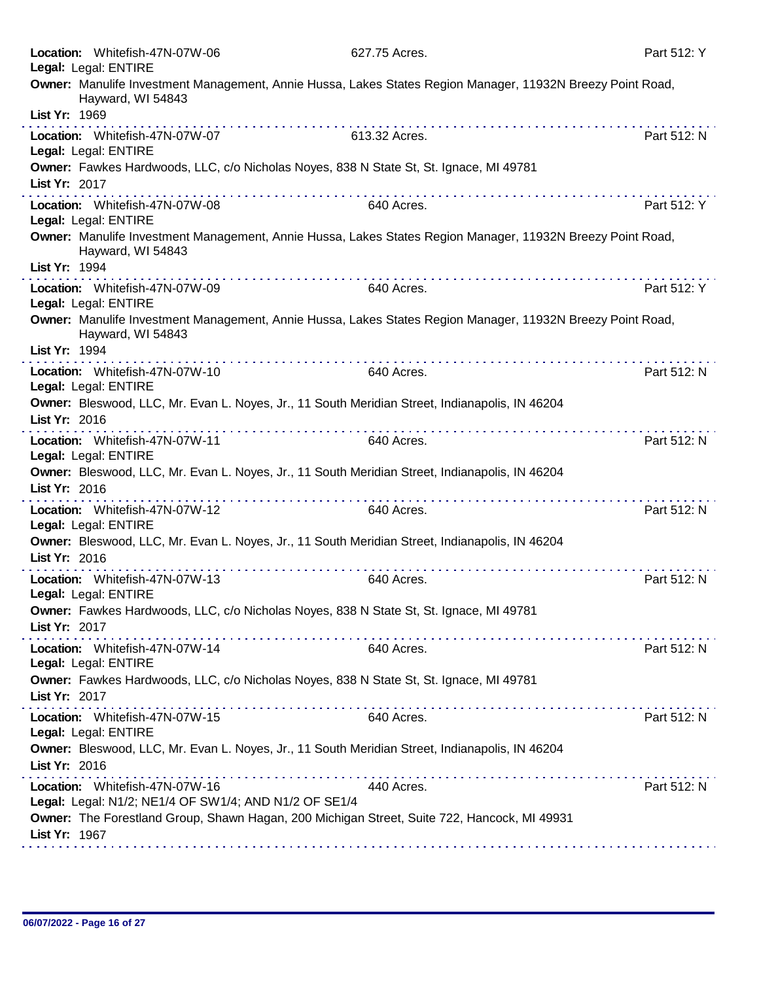| Location: Whitefish-47N-07W-06<br>Legal: Legal: ENTIRE                                                                                                   | 627.75 Acres. | Part 512: Y |
|----------------------------------------------------------------------------------------------------------------------------------------------------------|---------------|-------------|
| Owner: Manulife Investment Management, Annie Hussa, Lakes States Region Manager, 11932N Breezy Point Road,<br>Hayward, WI 54843<br>List Yr: 1969         |               |             |
| Location: Whitefish-47N-07W-07<br>Legal: Legal: ENTIRE                                                                                                   | 613.32 Acres. | Part 512: N |
| Owner: Fawkes Hardwoods, LLC, c/o Nicholas Noyes, 838 N State St, St. Ignace, MI 49781<br>List Yr: 2017                                                  |               |             |
| Location: Whitefish-47N-07W-08<br>Legal: Legal: ENTIRE                                                                                                   | 640 Acres.    | Part 512: Y |
| Owner: Manulife Investment Management, Annie Hussa, Lakes States Region Manager, 11932N Breezy Point Road,<br>Hayward, WI 54843<br>List Yr: 1994         |               |             |
| Location: Whitefish-47N-07W-09<br>Legal: Legal: ENTIRE                                                                                                   | 640 Acres.    | Part 512: Y |
| Owner: Manulife Investment Management, Annie Hussa, Lakes States Region Manager, 11932N Breezy Point Road,<br>Hayward, WI 54843<br>List Yr: 1994         |               |             |
| Location: Whitefish-47N-07W-10<br>Legal: Legal: ENTIRE                                                                                                   | 640 Acres.    | Part 512: N |
| Owner: Bleswood, LLC, Mr. Evan L. Noyes, Jr., 11 South Meridian Street, Indianapolis, IN 46204<br>List Yr: 2016                                          |               |             |
| Location: Whitefish-47N-07W-11<br>Legal: Legal: ENTIRE<br>Owner: Bleswood, LLC, Mr. Evan L. Noyes, Jr., 11 South Meridian Street, Indianapolis, IN 46204 | 640 Acres.    | Part 512: N |
| List Yr: 2016                                                                                                                                            |               |             |
| Location: Whitefish-47N-07W-12<br>Legal: Legal: ENTIRE                                                                                                   | 640 Acres.    | Part 512: N |
| Owner: Bleswood, LLC, Mr. Evan L. Noyes, Jr., 11 South Meridian Street, Indianapolis, IN 46204<br>List Yr: 2016                                          |               |             |
| .<br>Location: Whitefish-47N-07W-13<br>Legal: Legal: ENTIRE                                                                                              | 640 Acres.    | Part 512: N |
| Owner: Fawkes Hardwoods, LLC, c/o Nicholas Noyes, 838 N State St, St. Ignace, MI 49781<br>List Yr: 2017                                                  |               |             |
| Location: Whitefish-47N-07W-14<br>Legal: Legal: ENTIRE                                                                                                   | 640 Acres.    | Part 512: N |
| Owner: Fawkes Hardwoods, LLC, c/o Nicholas Noyes, 838 N State St, St. Ignace, MI 49781<br>List Yr: 2017                                                  |               |             |
| Location: Whitefish-47N-07W-15<br>Legal: Legal: ENTIRE                                                                                                   | 640 Acres.    | Part 512: N |
| Owner: Bleswood, LLC, Mr. Evan L. Noyes, Jr., 11 South Meridian Street, Indianapolis, IN 46204<br>List Yr: 2016                                          |               |             |
| Location: Whitefish-47N-07W-16<br>Legal: Legal: N1/2; NE1/4 OF SW1/4; AND N1/2 OF SE1/4                                                                  | 440 Acres.    | Part 512: N |
| Owner: The Forestland Group, Shawn Hagan, 200 Michigan Street, Suite 722, Hancock, MI 49931<br>List Yr: 1967                                             |               |             |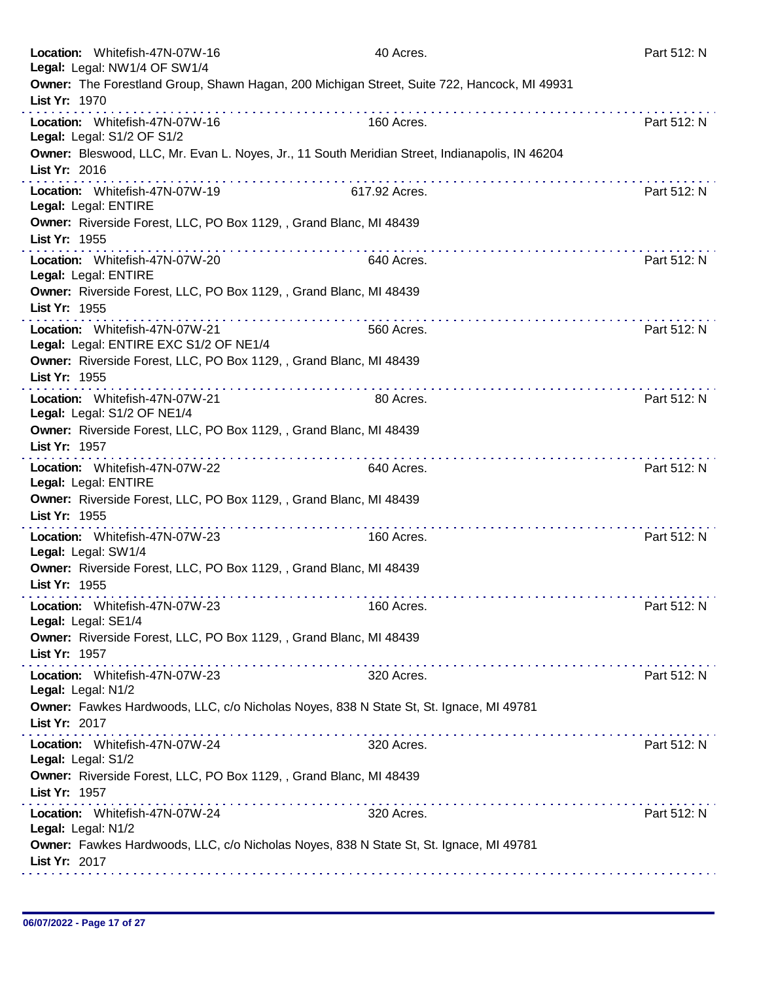|               | Location: Whitefish-47N-07W-16<br>Legal: Legal: NW1/4 OF SW1/4           | 40 Acres.                                                                                                                                                                                                                                                                                                                                                                                                                                   | Part 512: N |
|---------------|--------------------------------------------------------------------------|---------------------------------------------------------------------------------------------------------------------------------------------------------------------------------------------------------------------------------------------------------------------------------------------------------------------------------------------------------------------------------------------------------------------------------------------|-------------|
| List Yr: 1970 |                                                                          | Owner: The Forestland Group, Shawn Hagan, 200 Michigan Street, Suite 722, Hancock, MI 49931                                                                                                                                                                                                                                                                                                                                                 |             |
|               | Location: Whitefish-47N-07W-16<br>Legal: Legal: S1/2 OF S1/2             | 160 Acres.                                                                                                                                                                                                                                                                                                                                                                                                                                  | Part 512: N |
| List Yr: 2016 |                                                                          | Owner: Bleswood, LLC, Mr. Evan L. Noyes, Jr., 11 South Meridian Street, Indianapolis, IN 46204                                                                                                                                                                                                                                                                                                                                              |             |
|               | Location: Whitefish-47N-07W-19<br>Legal: Legal: ENTIRE                   | 617.92 Acres.                                                                                                                                                                                                                                                                                                                                                                                                                               | Part 512: N |
| List Yr: 1955 | Owner: Riverside Forest, LLC, PO Box 1129, , Grand Blanc, MI 48439       |                                                                                                                                                                                                                                                                                                                                                                                                                                             |             |
|               | Location: Whitefish-47N-07W-20<br>Legal: Legal: ENTIRE                   | 640 Acres.                                                                                                                                                                                                                                                                                                                                                                                                                                  | Part 512: N |
| List Yr: 1955 | Owner: Riverside Forest, LLC, PO Box 1129, , Grand Blanc, MI 48439       |                                                                                                                                                                                                                                                                                                                                                                                                                                             |             |
|               | Location: Whitefish-47N-07W-21<br>Legal: Legal: ENTIRE EXC S1/2 OF NE1/4 | 560 Acres.                                                                                                                                                                                                                                                                                                                                                                                                                                  | Part 512: N |
| List Yr: 1955 | Owner: Riverside Forest, LLC, PO Box 1129, , Grand Blanc, MI 48439       |                                                                                                                                                                                                                                                                                                                                                                                                                                             |             |
|               | Location: Whitefish-47N-07W-21<br>Legal: Legal: S1/2 OF NE1/4            | 80 Acres.                                                                                                                                                                                                                                                                                                                                                                                                                                   | Part 512: N |
| List Yr: 1957 | Owner: Riverside Forest, LLC, PO Box 1129, , Grand Blanc, MI 48439       |                                                                                                                                                                                                                                                                                                                                                                                                                                             |             |
|               | Location: Whitefish-47N-07W-22<br>Legal: Legal: ENTIRE                   | a construction of the construction of<br>640 Acres.                                                                                                                                                                                                                                                                                                                                                                                         | Part 512: N |
| List Yr: 1955 | Owner: Riverside Forest, LLC, PO Box 1129, , Grand Blanc, MI 48439       |                                                                                                                                                                                                                                                                                                                                                                                                                                             |             |
|               | Location: Whitefish-47N-07W-23<br>Legal: Legal: SW1/4                    | 160 Acres.                                                                                                                                                                                                                                                                                                                                                                                                                                  | Part 512: N |
| List Yr: 1955 | Owner: Riverside Forest, LLC, PO Box 1129, , Grand Blanc, MI 48439       |                                                                                                                                                                                                                                                                                                                                                                                                                                             |             |
|               | Location: Whitefish-47N-07W-23<br>Legal: Legal: SE1/4                    | 160 Acres.                                                                                                                                                                                                                                                                                                                                                                                                                                  | Part 512: N |
| List Yr: 1957 | Owner: Riverside Forest, LLC, PO Box 1129, , Grand Blanc, MI 48439       |                                                                                                                                                                                                                                                                                                                                                                                                                                             |             |
|               | Location: Whitefish-47N-07W-23<br>Legal: Legal: N1/2                     | $\label{eq:2.1} \begin{array}{lllllllllllllllllllll} \mathbf{1}_{\mathbf{1}}&\mathbf{1}_{\mathbf{1}}&\mathbf{1}_{\mathbf{1}}&\mathbf{1}_{\mathbf{1}}&\mathbf{1}_{\mathbf{1}}&\mathbf{1}_{\mathbf{1}}&\mathbf{1}_{\mathbf{1}}&\mathbf{1}_{\mathbf{1}}&\mathbf{1}_{\mathbf{1}}&\mathbf{1}_{\mathbf{1}}&\mathbf{1}_{\mathbf{1}}&\mathbf{1}_{\mathbf{1}}&\mathbf{1}_{\mathbf{1}}&\mathbf{1}_{\mathbf{1}}&\mathbf{1}_{\mathbf{1}}$<br>320 Acres. | Part 512: N |
| List Yr: 2017 |                                                                          | Owner: Fawkes Hardwoods, LLC, c/o Nicholas Noyes, 838 N State St, St. Ignace, MI 49781                                                                                                                                                                                                                                                                                                                                                      |             |
|               | Location: Whitefish-47N-07W-24<br>Legal: Legal: S1/2                     | 320 Acres.                                                                                                                                                                                                                                                                                                                                                                                                                                  | Part 512: N |
| List Yr: 1957 | Owner: Riverside Forest, LLC, PO Box 1129, , Grand Blanc, MI 48439       |                                                                                                                                                                                                                                                                                                                                                                                                                                             |             |
|               | Location: Whitefish-47N-07W-24<br>Legal: Legal: N1/2                     | 320 Acres.                                                                                                                                                                                                                                                                                                                                                                                                                                  | Part 512: N |
| List Yr: 2017 |                                                                          | Owner: Fawkes Hardwoods, LLC, c/o Nicholas Noyes, 838 N State St, St. Ignace, MI 49781                                                                                                                                                                                                                                                                                                                                                      |             |
|               |                                                                          |                                                                                                                                                                                                                                                                                                                                                                                                                                             |             |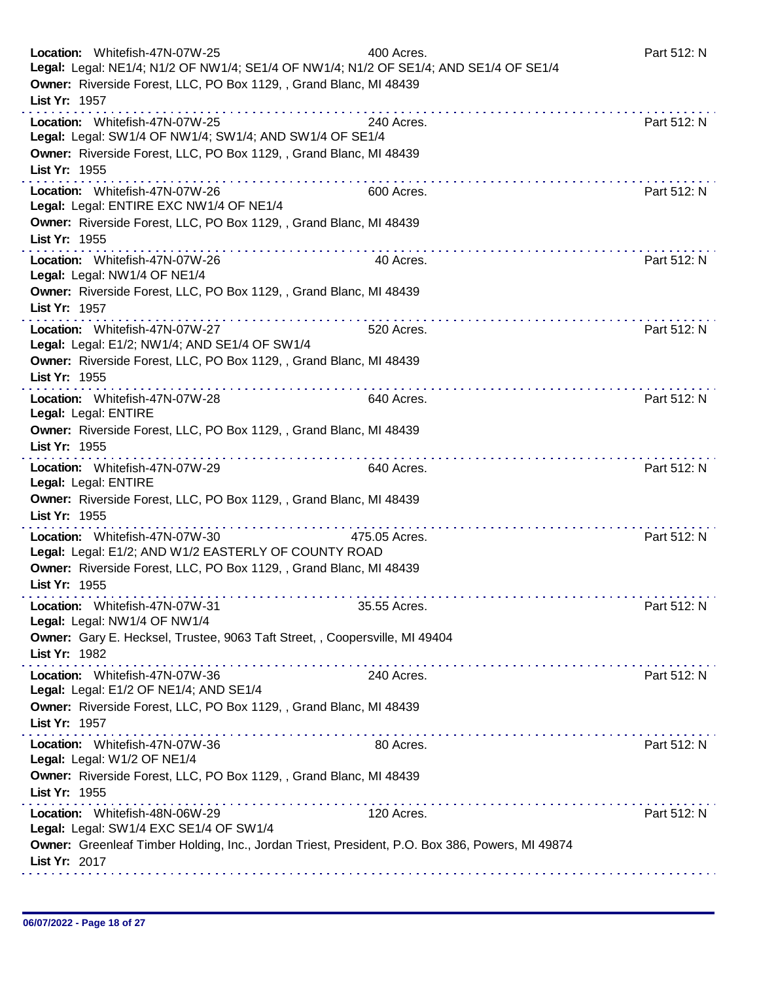| Location: Whitefish-47N-07W-25<br>Owner: Riverside Forest, LLC, PO Box 1129, , Grand Blanc, MI 48439 | 400 Acres.<br>Legal: Legal: NE1/4; N1/2 OF NW1/4; SE1/4 OF NW1/4; N1/2 OF SE1/4; AND SE1/4 OF SE1/4 | Part 512: N |
|------------------------------------------------------------------------------------------------------|-----------------------------------------------------------------------------------------------------|-------------|
| List Yr: 1957                                                                                        |                                                                                                     |             |
| Location: Whitefish-47N-07W-25<br>Legal: Legal: SW1/4 OF NW1/4; SW1/4; AND SW1/4 OF SE1/4            | 240 Acres.                                                                                          | Part 512: N |
| Owner: Riverside Forest, LLC, PO Box 1129, , Grand Blanc, MI 48439<br>List Yr: 1955                  |                                                                                                     |             |
| Location: Whitefish-47N-07W-26<br>Legal: Legal: ENTIRE EXC NW1/4 OF NE1/4                            | 600 Acres.                                                                                          | Part 512: N |
| Owner: Riverside Forest, LLC, PO Box 1129, , Grand Blanc, MI 48439<br>List Yr: 1955                  |                                                                                                     |             |
| Location: Whitefish-47N-07W-26<br>Legal: Legal: NW1/4 OF NE1/4                                       | 40 Acres.                                                                                           | Part 512: N |
| Owner: Riverside Forest, LLC, PO Box 1129, , Grand Blanc, MI 48439<br>List Yr: 1957                  |                                                                                                     |             |
| Location: Whitefish-47N-07W-27<br>Legal: Legal: E1/2; NW1/4; AND SE1/4 OF SW1/4                      | 520 Acres.                                                                                          | Part 512: N |
| Owner: Riverside Forest, LLC, PO Box 1129, , Grand Blanc, MI 48439<br>List Yr: 1955                  |                                                                                                     |             |
| Location: Whitefish-47N-07W-28<br>Legal: Legal: ENTIRE                                               | .<br>640 Acres.                                                                                     | Part 512: N |
| Owner: Riverside Forest, LLC, PO Box 1129, , Grand Blanc, MI 48439<br>List Yr: 1955                  |                                                                                                     |             |
| Location: Whitefish-47N-07W-29<br>Legal: Legal: ENTIRE                                               | 640 Acres.                                                                                          | Part 512: N |
| Owner: Riverside Forest, LLC, PO Box 1129, , Grand Blanc, MI 48439<br>List Yr: 1955                  |                                                                                                     |             |
| Location: Whitefish-47N-07W-30<br>Legal: Legal: E1/2; AND W1/2 EASTERLY OF COUNTY ROAD               | 475.05 Acres.                                                                                       | Part 512: N |
| Owner: Riverside Forest, LLC, PO Box 1129, , Grand Blanc, MI 48439<br>List Yr: 1955                  |                                                                                                     |             |
| Location: Whitefish-47N-07W-31<br>Legal: Legal: NW1/4 OF NW1/4                                       | 35.55 Acres.                                                                                        | Part 512: N |
| Owner: Gary E. Hecksel, Trustee, 9063 Taft Street, , Coopersville, MI 49404<br>List Yr: 1982         |                                                                                                     |             |
| Location: Whitefish-47N-07W-36<br>Legal: Legal: E1/2 OF NE1/4; AND SE1/4                             | 240 Acres.                                                                                          | Part 512: N |
| Owner: Riverside Forest, LLC, PO Box 1129, , Grand Blanc, MI 48439<br>List Yr: 1957                  |                                                                                                     |             |
| Location: Whitefish-47N-07W-36<br>Legal: Legal: W1/2 OF NE1/4                                        | 80 Acres.                                                                                           | Part 512: N |
| Owner: Riverside Forest, LLC, PO Box 1129, , Grand Blanc, MI 48439<br>List Yr: 1955                  |                                                                                                     |             |
| Location: Whitefish-48N-06W-29<br>Legal: Legal: SW1/4 EXC SE1/4 OF SW1/4                             | 120 Acres.                                                                                          | Part 512: N |
| List Yr: 2017                                                                                        | Owner: Greenleaf Timber Holding, Inc., Jordan Triest, President, P.O. Box 386, Powers, MI 49874     |             |
|                                                                                                      |                                                                                                     |             |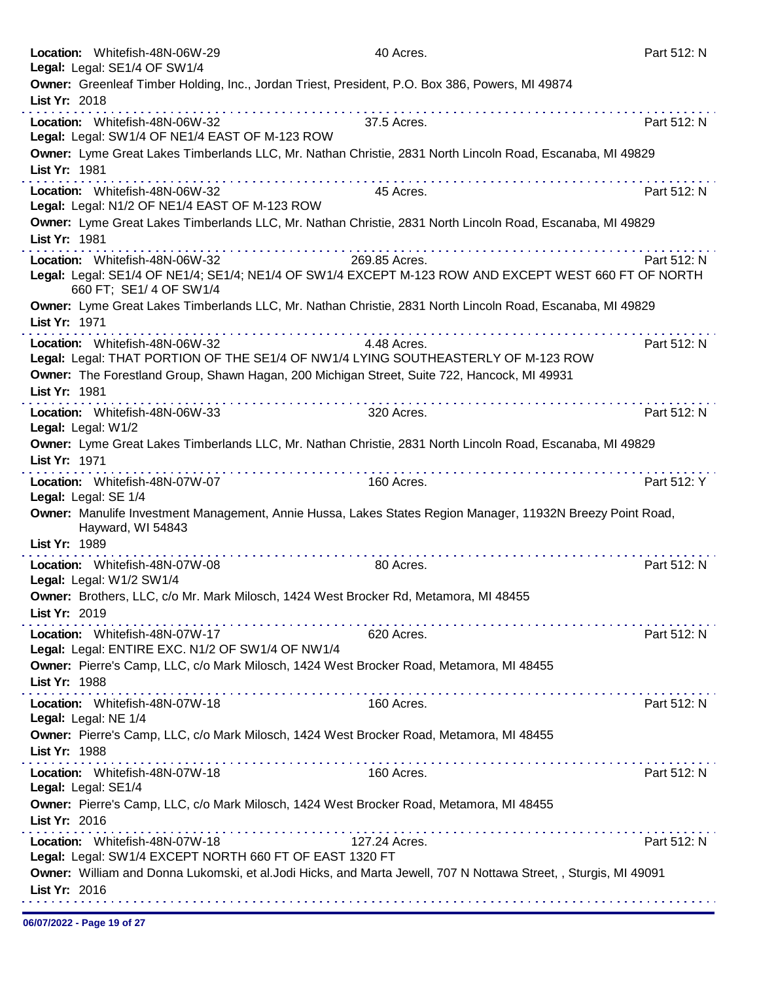| Location: Whitefish-48N-06W-29<br>Legal: Legal: SE1/4 OF SW1/4 | 40 Acres.                                                                                                        | Part 512: N |
|----------------------------------------------------------------|------------------------------------------------------------------------------------------------------------------|-------------|
|                                                                | Owner: Greenleaf Timber Holding, Inc., Jordan Triest, President, P.O. Box 386, Powers, MI 49874                  |             |
| List Yr: 2018                                                  |                                                                                                                  |             |
| Location: Whitefish-48N-06W-32                                 | 37.5 Acres.                                                                                                      | Part 512: N |
| Legal: Legal: SW1/4 OF NE1/4 EAST OF M-123 ROW                 |                                                                                                                  |             |
|                                                                | Owner: Lyme Great Lakes Timberlands LLC, Mr. Nathan Christie, 2831 North Lincoln Road, Escanaba, MI 49829        |             |
| List Yr: 1981                                                  |                                                                                                                  |             |
| Location: Whitefish-48N-06W-32                                 | 45 Acres.                                                                                                        | Part 512: N |
| Legal: Legal: N1/2 OF NE1/4 EAST OF M-123 ROW                  |                                                                                                                  |             |
|                                                                | Owner: Lyme Great Lakes Timberlands LLC, Mr. Nathan Christie, 2831 North Lincoln Road, Escanaba, MI 49829        |             |
| List Yr: 1981                                                  |                                                                                                                  |             |
| Location: Whitefish-48N-06W-32                                 | 269.85 Acres.                                                                                                    | Part 512: N |
|                                                                | Legal: Legal: SE1/4 OF NE1/4; SE1/4; NE1/4 OF SW1/4 EXCEPT M-123 ROW AND EXCEPT WEST 660 FT OF NORTH             |             |
| 660 FT; SE1/ 4 OF SW1/4                                        |                                                                                                                  |             |
|                                                                | Owner: Lyme Great Lakes Timberlands LLC, Mr. Nathan Christie, 2831 North Lincoln Road, Escanaba, MI 49829        |             |
| List Yr: 1971                                                  |                                                                                                                  |             |
| Location: Whitefish-48N-06W-32                                 | 4.48 Acres.                                                                                                      | Part 512: N |
|                                                                | Legal: Legal: THAT PORTION OF THE SE1/4 OF NW1/4 LYING SOUTHEASTERLY OF M-123 ROW                                |             |
|                                                                | Owner: The Forestland Group, Shawn Hagan, 200 Michigan Street, Suite 722, Hancock, MI 49931                      |             |
| List Yr: 1981                                                  |                                                                                                                  |             |
| Location: Whitefish-48N-06W-33                                 | 320 Acres.                                                                                                       | Part 512: N |
| Legal: Legal: W1/2                                             |                                                                                                                  |             |
|                                                                | Owner: Lyme Great Lakes Timberlands LLC, Mr. Nathan Christie, 2831 North Lincoln Road, Escanaba, MI 49829        |             |
| List Yr: 1971                                                  |                                                                                                                  |             |
| Location: Whitefish-48N-07W-07                                 | 160 Acres.                                                                                                       | Part 512: Y |
| Legal: Legal: SE 1/4                                           |                                                                                                                  |             |
|                                                                | Owner: Manulife Investment Management, Annie Hussa, Lakes States Region Manager, 11932N Breezy Point Road,       |             |
| Hayward, WI 54843                                              |                                                                                                                  |             |
| List Yr: 1989                                                  |                                                                                                                  |             |
| Location: Whitefish-48N-07W-08                                 | 80 Acres.                                                                                                        | Part 512: N |
| Legal: Legal: W1/2 SW1/4                                       |                                                                                                                  |             |
|                                                                | Owner: Brothers, LLC, c/o Mr. Mark Milosch, 1424 West Brocker Rd, Metamora, MI 48455                             |             |
| List Yr: 2019                                                  |                                                                                                                  |             |
| Location: Whitefish-48N-07W-17                                 | 620 Acres.                                                                                                       | Part 512: N |
| Legal: Legal: ENTIRE EXC. N1/2 OF SW1/4 OF NW1/4               |                                                                                                                  |             |
|                                                                | Owner: Pierre's Camp, LLC, c/o Mark Milosch, 1424 West Brocker Road, Metamora, MI 48455                          |             |
| List Yr: 1988                                                  |                                                                                                                  |             |
| Location: Whitefish-48N-07W-18                                 | 160 Acres.                                                                                                       | Part 512: N |
| Legal: Legal: NE 1/4                                           |                                                                                                                  |             |
|                                                                | Owner: Pierre's Camp, LLC, c/o Mark Milosch, 1424 West Brocker Road, Metamora, MI 48455                          |             |
| List Yr: 1988                                                  |                                                                                                                  |             |
| Location: Whitefish-48N-07W-18                                 | 160 Acres.                                                                                                       | Part 512: N |
| Legal: Legal: SE1/4                                            |                                                                                                                  |             |
| List Yr: 2016                                                  | Owner: Pierre's Camp, LLC, c/o Mark Milosch, 1424 West Brocker Road, Metamora, MI 48455                          |             |
|                                                                |                                                                                                                  |             |
| Location: Whitefish-48N-07W-18                                 | 127.24 Acres.                                                                                                    | Part 512: N |
| Legal: Legal: SW1/4 EXCEPT NORTH 660 FT OF EAST 1320 FT        | Owner: William and Donna Lukomski, et al.Jodi Hicks, and Marta Jewell, 707 N Nottawa Street, , Sturgis, MI 49091 |             |
| List Yr: 2016                                                  |                                                                                                                  |             |
|                                                                |                                                                                                                  |             |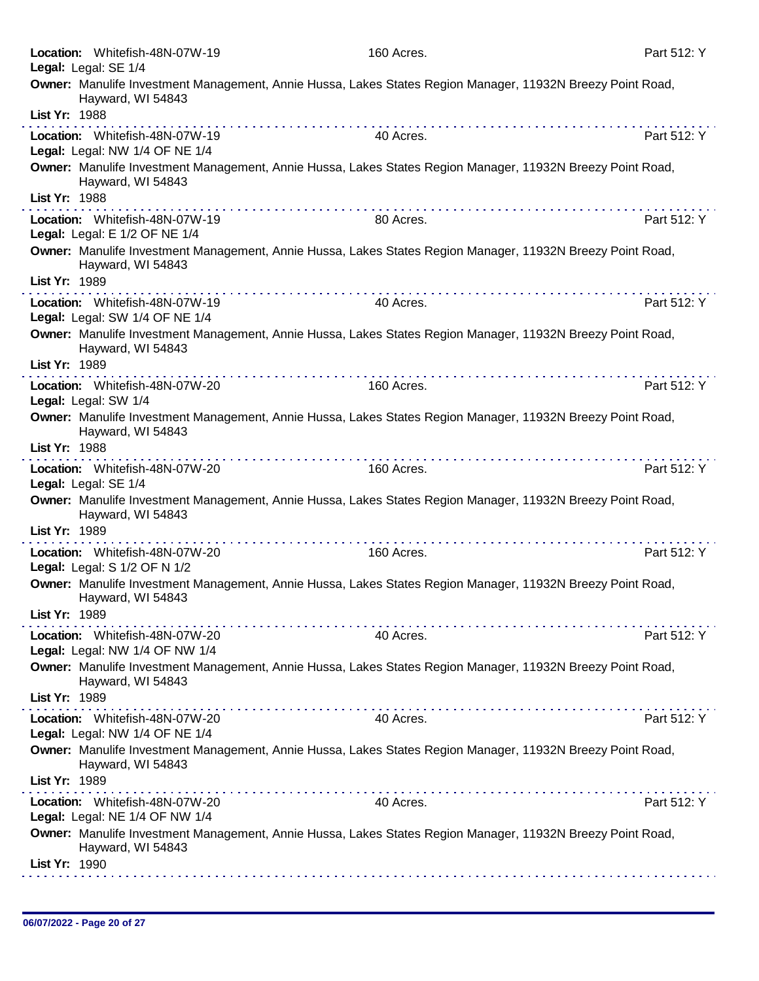| Location: Whitefish-48N-07W-19<br>Legal: Legal: SE 1/4           | 160 Acres.                                                                                                 | Part 512: Y |
|------------------------------------------------------------------|------------------------------------------------------------------------------------------------------------|-------------|
| Hayward, WI 54843<br>List Yr: 1988                               | Owner: Manulife Investment Management, Annie Hussa, Lakes States Region Manager, 11932N Breezy Point Road, |             |
| Location: Whitefish-48N-07W-19                                   | 40 Acres.                                                                                                  | Part 512: Y |
| Legal: Legal: NW 1/4 OF NE 1/4                                   |                                                                                                            |             |
| Hayward, WI 54843<br>List Yr: 1988                               | Owner: Manulife Investment Management, Annie Hussa, Lakes States Region Manager, 11932N Breezy Point Road, |             |
| Location: Whitefish-48N-07W-19                                   | .<br>80 Acres.                                                                                             | Part 512: Y |
| Legal: Legal: E 1/2 OF NE 1/4                                    |                                                                                                            |             |
| Hayward, WI 54843                                                | Owner: Manulife Investment Management, Annie Hussa, Lakes States Region Manager, 11932N Breezy Point Road, |             |
| List Yr: 1989                                                    |                                                                                                            | Part 512: Y |
| Location: Whitefish-48N-07W-19<br>Legal: Legal: SW 1/4 OF NE 1/4 | 40 Acres.                                                                                                  |             |
| Hayward, WI 54843<br>List Yr: 1989                               | Owner: Manulife Investment Management, Annie Hussa, Lakes States Region Manager, 11932N Breezy Point Road, |             |
| Location: Whitefish-48N-07W-20                                   | 160 Acres.                                                                                                 | Part 512: Y |
| Legal: Legal: SW 1/4                                             |                                                                                                            |             |
| Hayward, WI 54843                                                | Owner: Manulife Investment Management, Annie Hussa, Lakes States Region Manager, 11932N Breezy Point Road, |             |
| List Yr: 1988                                                    | .                                                                                                          |             |
| Location: Whitefish-48N-07W-20<br>Legal: Legal: SE 1/4           | 160 Acres.                                                                                                 | Part 512: Y |
| Hayward, WI 54843<br>List Yr: 1989                               | Owner: Manulife Investment Management, Annie Hussa, Lakes States Region Manager, 11932N Breezy Point Road, |             |
| Location: Whitefish-48N-07W-20                                   | 160 Acres.                                                                                                 | Part 512: Y |
| Legal: Legal: S 1/2 OF N 1/2                                     |                                                                                                            |             |
| Hayward, WI 54843                                                | Owner: Manulife Investment Management, Annie Hussa, Lakes States Region Manager, 11932N Breezy Point Road, |             |
| List Yr: 1989                                                    |                                                                                                            |             |
| Location: Whitefish-48N-07W-20<br>Legal: Legal: NW 1/4 OF NW 1/4 | 40 Acres.                                                                                                  | Part 512: Y |
|                                                                  | Owner: Manulife Investment Management, Annie Hussa, Lakes States Region Manager, 11932N Breezy Point Road, |             |
| Hayward, WI 54843<br>List Yr: 1989                               |                                                                                                            |             |
| Location: Whitefish-48N-07W-20                                   | 40 Acres.                                                                                                  | Part 512: Y |
| Legal: Legal: NW 1/4 OF NE 1/4                                   |                                                                                                            |             |
| Hayward, WI 54843                                                | Owner: Manulife Investment Management, Annie Hussa, Lakes States Region Manager, 11932N Breezy Point Road, |             |
| List Yr: 1989                                                    | .                                                                                                          |             |
| Location: Whitefish-48N-07W-20<br>Legal: Legal: NE 1/4 OF NW 1/4 | 40 Acres.                                                                                                  | Part 512: Y |
| Hayward, WI 54843                                                | Owner: Manulife Investment Management, Annie Hussa, Lakes States Region Manager, 11932N Breezy Point Road, |             |
| List Yr: 1990                                                    |                                                                                                            |             |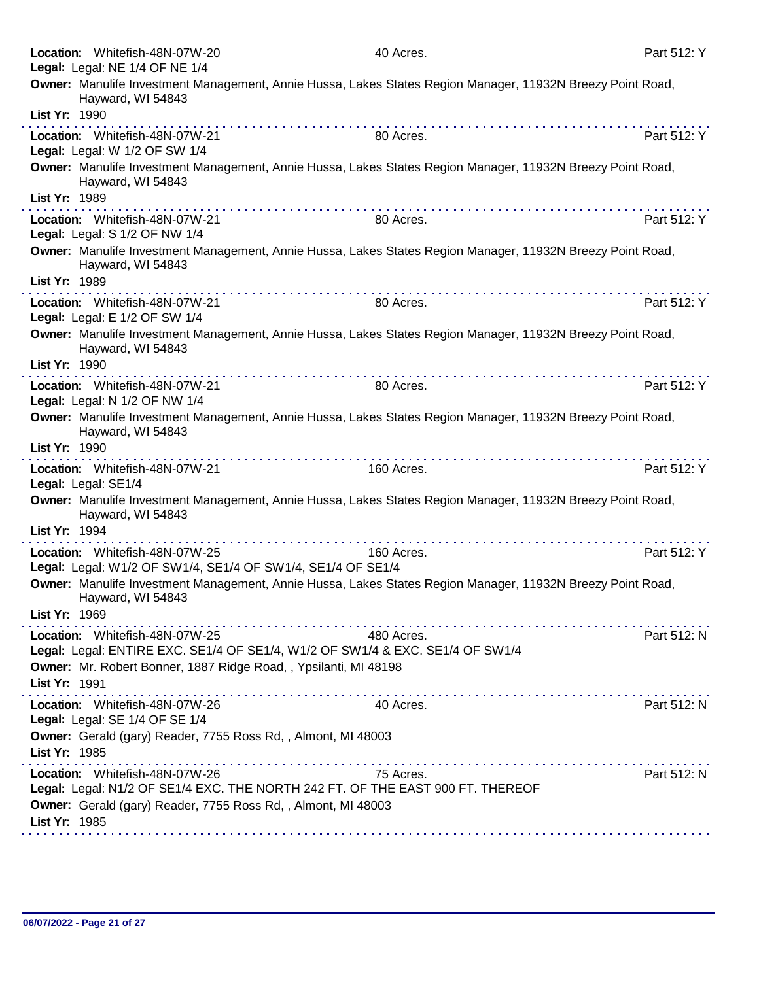|               | Location: Whitefish-48N-07W-20<br>Legal: Legal: NE 1/4 OF NE 1/4                                                                | 40 Acres.  | Part 512: Y |
|---------------|---------------------------------------------------------------------------------------------------------------------------------|------------|-------------|
|               | Owner: Manulife Investment Management, Annie Hussa, Lakes States Region Manager, 11932N Breezy Point Road,                      |            |             |
| List Yr: 1990 | Hayward, WI 54843                                                                                                               |            |             |
|               |                                                                                                                                 |            |             |
|               | Location: Whitefish-48N-07W-21<br>Legal: Legal: W 1/2 OF SW 1/4                                                                 | 80 Acres.  | Part 512: Y |
| List Yr: 1989 | Owner: Manulife Investment Management, Annie Hussa, Lakes States Region Manager, 11932N Breezy Point Road,<br>Hayward, WI 54843 |            |             |
|               |                                                                                                                                 |            |             |
|               | Location: Whitefish-48N-07W-21<br>Legal: Legal: S 1/2 OF NW 1/4                                                                 | 80 Acres.  | Part 512: Y |
|               | Owner: Manulife Investment Management, Annie Hussa, Lakes States Region Manager, 11932N Breezy Point Road,<br>Hayward, WI 54843 |            |             |
| List Yr: 1989 |                                                                                                                                 |            |             |
|               | Location: Whitefish-48N-07W-21<br>Legal: Legal: E 1/2 OF SW 1/4                                                                 | 80 Acres.  | Part 512: Y |
|               | Owner: Manulife Investment Management, Annie Hussa, Lakes States Region Manager, 11932N Breezy Point Road,<br>Hayward, WI 54843 |            |             |
| List Yr: 1990 |                                                                                                                                 |            |             |
|               | Location: Whitefish-48N-07W-21<br>Legal: Legal: N 1/2 OF NW 1/4                                                                 | 80 Acres.  | Part 512: Y |
|               | Owner: Manulife Investment Management, Annie Hussa, Lakes States Region Manager, 11932N Breezy Point Road,<br>Hayward, WI 54843 |            |             |
| List Yr: 1990 |                                                                                                                                 |            |             |
|               | the second contract of the second contract of the<br>Location: Whitefish-48N-07W-21<br>Legal: Legal: SE1/4                      | 160 Acres. | Part 512: Y |
|               | Owner: Manulife Investment Management, Annie Hussa, Lakes States Region Manager, 11932N Breezy Point Road,<br>Hayward, WI 54843 |            |             |
| List Yr: 1994 |                                                                                                                                 |            |             |
|               | .<br>Location: Whitefish-48N-07W-25<br>Legal: Legal: W1/2 OF SW1/4, SE1/4 OF SW1/4, SE1/4 OF SE1/4                              | 160 Acres. | Part 512: Y |
|               | Owner: Manulife Investment Management, Annie Hussa, Lakes States Region Manager, 11932N Breezy Point Road,<br>Hayward, WI 54843 |            |             |
| List Yr: 1969 |                                                                                                                                 |            |             |
|               | Location: Whitefish-48N-07W-25                                                                                                  | 480 Acres. | Part 512: N |
|               | Legal: Legal: ENTIRE EXC. SE1/4 OF SE1/4, W1/2 OF SW1/4 & EXC. SE1/4 OF SW1/4                                                   |            |             |
|               | Owner: Mr. Robert Bonner, 1887 Ridge Road, , Ypsilanti, MI 48198                                                                |            |             |
| List Yr: 1991 |                                                                                                                                 |            |             |
|               | Location: Whitefish-48N-07W-26<br>Legal: Legal: SE 1/4 OF SE 1/4                                                                | 40 Acres.  | Part 512: N |
| List Yr: 1985 | Owner: Gerald (gary) Reader, 7755 Ross Rd, , Almont, MI 48003                                                                   |            |             |
|               | Location: Whitefish-48N-07W-26                                                                                                  | 75 Acres.  | Part 512: N |
|               | Legal: Legal: N1/2 OF SE1/4 EXC. THE NORTH 242 FT. OF THE EAST 900 FT. THEREOF                                                  |            |             |
|               | Owner: Gerald (gary) Reader, 7755 Ross Rd, , Almont, MI 48003                                                                   |            |             |
| List Yr: 1985 |                                                                                                                                 |            |             |
|               |                                                                                                                                 |            |             |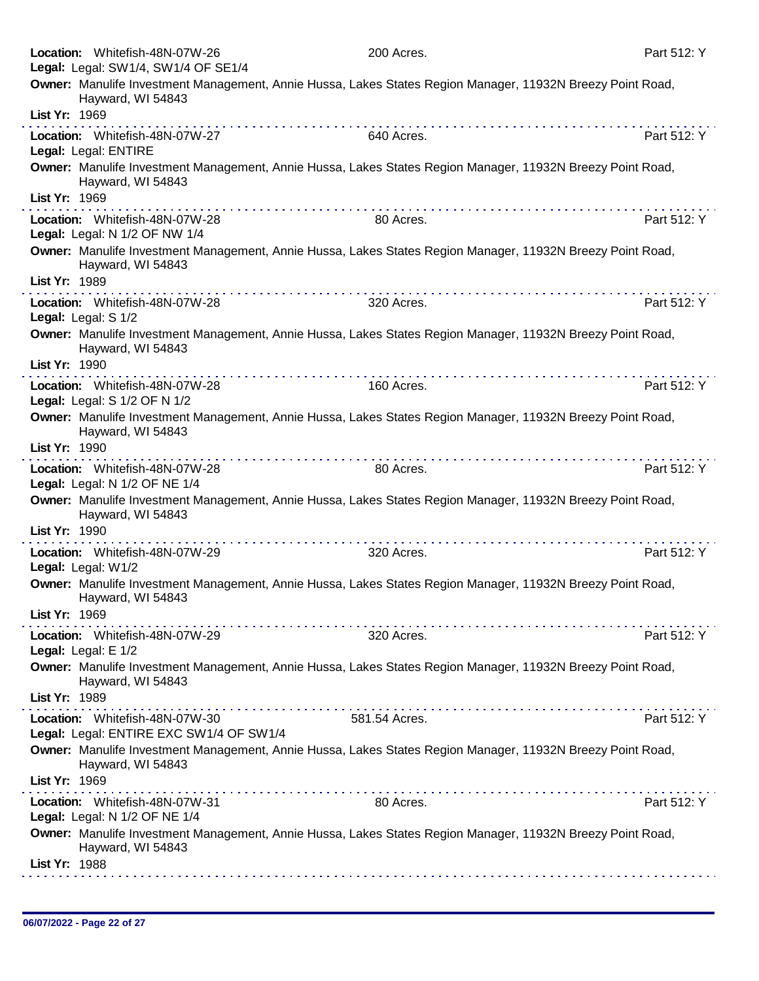| Legal: Legal: SW1/4, SW1/4 OF SE1/4<br>Owner: Manulife Investment Management, Annie Hussa, Lakes States Region Manager, 11932N Breezy Point Road,<br>Hayward, WI 54843<br>List Yr: 1969<br>640 Acres.<br>Part 512: Y<br>Location: Whitefish-48N-07W-27<br>Legal: Legal: ENTIRE<br>Owner: Manulife Investment Management, Annie Hussa, Lakes States Region Manager, 11932N Breezy Point Road,<br>Hayward, WI 54843<br>List Yr: 1969<br>Part 512: Y<br>Location: Whitefish-48N-07W-28<br>80 Acres.<br>Legal: Legal: N 1/2 OF NW 1/4<br>Owner: Manulife Investment Management, Annie Hussa, Lakes States Region Manager, 11932N Breezy Point Road,<br>Hayward, WI 54843<br>List Yr: 1989<br>Location: Whitefish-48N-07W-28<br>320 Acres.<br>Part 512: Y<br>Legal: Legal: S 1/2<br>Owner: Manulife Investment Management, Annie Hussa, Lakes States Region Manager, 11932N Breezy Point Road,<br>Hayward, WI 54843<br>List Yr: 1990<br>Part 512: Y<br>160 Acres.<br>Location: Whitefish-48N-07W-28<br>Legal: Legal: S 1/2 OF N 1/2<br>Owner: Manulife Investment Management, Annie Hussa, Lakes States Region Manager, 11932N Breezy Point Road,<br>Hayward, WI 54843<br>List Yr: 1990<br>.<br>Part 512: Y<br>Location: Whitefish-48N-07W-28<br>80 Acres.<br>Legal: Legal: N 1/2 OF NE 1/4<br>Owner: Manulife Investment Management, Annie Hussa, Lakes States Region Manager, 11932N Breezy Point Road,<br>Hayward, WI 54843<br>List Yr: 1990<br>Part 512: Y<br>Location: Whitefish-48N-07W-29<br>320 Acres. | Part 512: Y |
|-----------------------------------------------------------------------------------------------------------------------------------------------------------------------------------------------------------------------------------------------------------------------------------------------------------------------------------------------------------------------------------------------------------------------------------------------------------------------------------------------------------------------------------------------------------------------------------------------------------------------------------------------------------------------------------------------------------------------------------------------------------------------------------------------------------------------------------------------------------------------------------------------------------------------------------------------------------------------------------------------------------------------------------------------------------------------------------------------------------------------------------------------------------------------------------------------------------------------------------------------------------------------------------------------------------------------------------------------------------------------------------------------------------------------------------------------------------------------------------------------------------|-------------|
|                                                                                                                                                                                                                                                                                                                                                                                                                                                                                                                                                                                                                                                                                                                                                                                                                                                                                                                                                                                                                                                                                                                                                                                                                                                                                                                                                                                                                                                                                                           |             |
|                                                                                                                                                                                                                                                                                                                                                                                                                                                                                                                                                                                                                                                                                                                                                                                                                                                                                                                                                                                                                                                                                                                                                                                                                                                                                                                                                                                                                                                                                                           |             |
|                                                                                                                                                                                                                                                                                                                                                                                                                                                                                                                                                                                                                                                                                                                                                                                                                                                                                                                                                                                                                                                                                                                                                                                                                                                                                                                                                                                                                                                                                                           |             |
|                                                                                                                                                                                                                                                                                                                                                                                                                                                                                                                                                                                                                                                                                                                                                                                                                                                                                                                                                                                                                                                                                                                                                                                                                                                                                                                                                                                                                                                                                                           |             |
|                                                                                                                                                                                                                                                                                                                                                                                                                                                                                                                                                                                                                                                                                                                                                                                                                                                                                                                                                                                                                                                                                                                                                                                                                                                                                                                                                                                                                                                                                                           |             |
|                                                                                                                                                                                                                                                                                                                                                                                                                                                                                                                                                                                                                                                                                                                                                                                                                                                                                                                                                                                                                                                                                                                                                                                                                                                                                                                                                                                                                                                                                                           |             |
|                                                                                                                                                                                                                                                                                                                                                                                                                                                                                                                                                                                                                                                                                                                                                                                                                                                                                                                                                                                                                                                                                                                                                                                                                                                                                                                                                                                                                                                                                                           |             |
|                                                                                                                                                                                                                                                                                                                                                                                                                                                                                                                                                                                                                                                                                                                                                                                                                                                                                                                                                                                                                                                                                                                                                                                                                                                                                                                                                                                                                                                                                                           |             |
|                                                                                                                                                                                                                                                                                                                                                                                                                                                                                                                                                                                                                                                                                                                                                                                                                                                                                                                                                                                                                                                                                                                                                                                                                                                                                                                                                                                                                                                                                                           |             |
|                                                                                                                                                                                                                                                                                                                                                                                                                                                                                                                                                                                                                                                                                                                                                                                                                                                                                                                                                                                                                                                                                                                                                                                                                                                                                                                                                                                                                                                                                                           |             |
|                                                                                                                                                                                                                                                                                                                                                                                                                                                                                                                                                                                                                                                                                                                                                                                                                                                                                                                                                                                                                                                                                                                                                                                                                                                                                                                                                                                                                                                                                                           |             |
|                                                                                                                                                                                                                                                                                                                                                                                                                                                                                                                                                                                                                                                                                                                                                                                                                                                                                                                                                                                                                                                                                                                                                                                                                                                                                                                                                                                                                                                                                                           |             |
|                                                                                                                                                                                                                                                                                                                                                                                                                                                                                                                                                                                                                                                                                                                                                                                                                                                                                                                                                                                                                                                                                                                                                                                                                                                                                                                                                                                                                                                                                                           |             |
|                                                                                                                                                                                                                                                                                                                                                                                                                                                                                                                                                                                                                                                                                                                                                                                                                                                                                                                                                                                                                                                                                                                                                                                                                                                                                                                                                                                                                                                                                                           |             |
|                                                                                                                                                                                                                                                                                                                                                                                                                                                                                                                                                                                                                                                                                                                                                                                                                                                                                                                                                                                                                                                                                                                                                                                                                                                                                                                                                                                                                                                                                                           |             |
|                                                                                                                                                                                                                                                                                                                                                                                                                                                                                                                                                                                                                                                                                                                                                                                                                                                                                                                                                                                                                                                                                                                                                                                                                                                                                                                                                                                                                                                                                                           |             |
|                                                                                                                                                                                                                                                                                                                                                                                                                                                                                                                                                                                                                                                                                                                                                                                                                                                                                                                                                                                                                                                                                                                                                                                                                                                                                                                                                                                                                                                                                                           |             |
| Legal: Legal: W1/2                                                                                                                                                                                                                                                                                                                                                                                                                                                                                                                                                                                                                                                                                                                                                                                                                                                                                                                                                                                                                                                                                                                                                                                                                                                                                                                                                                                                                                                                                        |             |
| Owner: Manulife Investment Management, Annie Hussa, Lakes States Region Manager, 11932N Breezy Point Road,<br>Hayward, WI 54843<br>List Yr: 1969                                                                                                                                                                                                                                                                                                                                                                                                                                                                                                                                                                                                                                                                                                                                                                                                                                                                                                                                                                                                                                                                                                                                                                                                                                                                                                                                                          |             |
| Location: Whitefish-48N-07W-29<br>320 Acres.<br>Part 512: Y                                                                                                                                                                                                                                                                                                                                                                                                                                                                                                                                                                                                                                                                                                                                                                                                                                                                                                                                                                                                                                                                                                                                                                                                                                                                                                                                                                                                                                               |             |
| Legal: Legal: E 1/2                                                                                                                                                                                                                                                                                                                                                                                                                                                                                                                                                                                                                                                                                                                                                                                                                                                                                                                                                                                                                                                                                                                                                                                                                                                                                                                                                                                                                                                                                       |             |
| Owner: Manulife Investment Management, Annie Hussa, Lakes States Region Manager, 11932N Breezy Point Road,<br>Hayward, WI 54843                                                                                                                                                                                                                                                                                                                                                                                                                                                                                                                                                                                                                                                                                                                                                                                                                                                                                                                                                                                                                                                                                                                                                                                                                                                                                                                                                                           |             |
| List Yr: 1989<br>the second complete second contracts of the second                                                                                                                                                                                                                                                                                                                                                                                                                                                                                                                                                                                                                                                                                                                                                                                                                                                                                                                                                                                                                                                                                                                                                                                                                                                                                                                                                                                                                                       |             |
| Location: Whitefish-48N-07W-30<br>Part 512: Y<br>581.54 Acres.<br>Legal: Legal: ENTIRE EXC SW1/4 OF SW1/4                                                                                                                                                                                                                                                                                                                                                                                                                                                                                                                                                                                                                                                                                                                                                                                                                                                                                                                                                                                                                                                                                                                                                                                                                                                                                                                                                                                                 |             |
| Owner: Manulife Investment Management, Annie Hussa, Lakes States Region Manager, 11932N Breezy Point Road,<br>Hayward, WI 54843                                                                                                                                                                                                                                                                                                                                                                                                                                                                                                                                                                                                                                                                                                                                                                                                                                                                                                                                                                                                                                                                                                                                                                                                                                                                                                                                                                           |             |
| List Yr: 1969                                                                                                                                                                                                                                                                                                                                                                                                                                                                                                                                                                                                                                                                                                                                                                                                                                                                                                                                                                                                                                                                                                                                                                                                                                                                                                                                                                                                                                                                                             |             |
| Part 512: Y<br>80 Acres.<br>Location: Whitefish-48N-07W-31<br>Legal: Legal: N 1/2 OF NE 1/4                                                                                                                                                                                                                                                                                                                                                                                                                                                                                                                                                                                                                                                                                                                                                                                                                                                                                                                                                                                                                                                                                                                                                                                                                                                                                                                                                                                                               |             |
| Owner: Manulife Investment Management, Annie Hussa, Lakes States Region Manager, 11932N Breezy Point Road,<br>Hayward, WI 54843                                                                                                                                                                                                                                                                                                                                                                                                                                                                                                                                                                                                                                                                                                                                                                                                                                                                                                                                                                                                                                                                                                                                                                                                                                                                                                                                                                           |             |
| List Yr: 1988                                                                                                                                                                                                                                                                                                                                                                                                                                                                                                                                                                                                                                                                                                                                                                                                                                                                                                                                                                                                                                                                                                                                                                                                                                                                                                                                                                                                                                                                                             |             |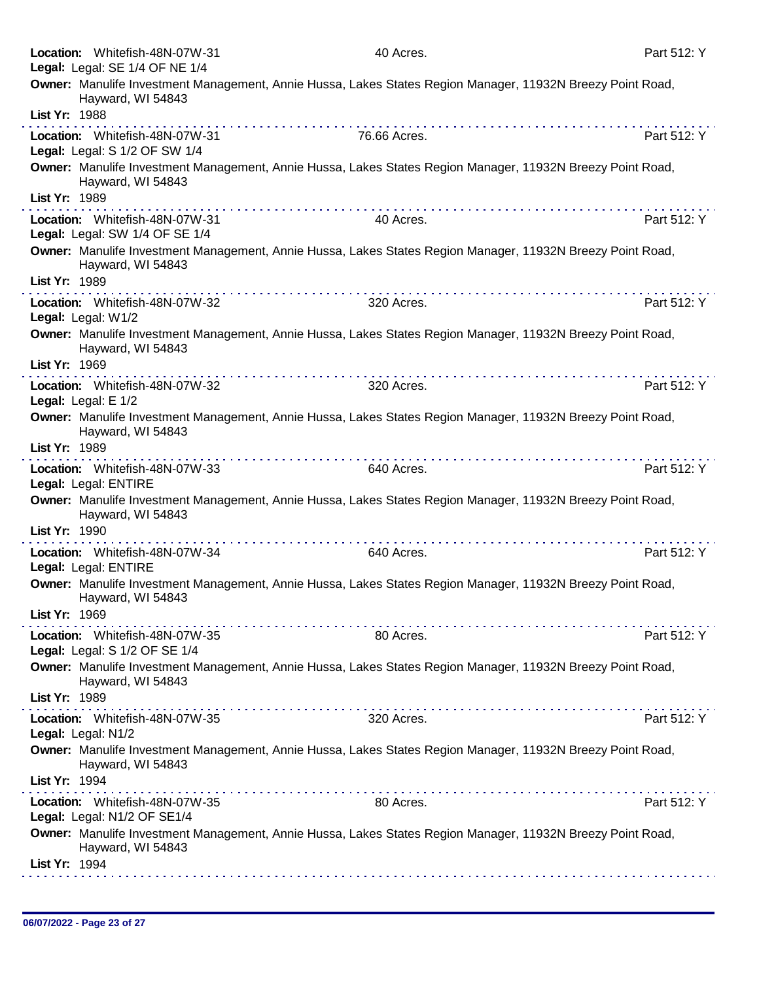|               | Location: Whitefish-48N-07W-31<br>Legal: Legal: SE 1/4 OF NE 1/4 | 40 Acres.                                                                                                                                                                                                                                                                                                                                                                                                                                                    | Part 512: Y |
|---------------|------------------------------------------------------------------|--------------------------------------------------------------------------------------------------------------------------------------------------------------------------------------------------------------------------------------------------------------------------------------------------------------------------------------------------------------------------------------------------------------------------------------------------------------|-------------|
|               | Hayward, WI 54843                                                | Owner: Manulife Investment Management, Annie Hussa, Lakes States Region Manager, 11932N Breezy Point Road,                                                                                                                                                                                                                                                                                                                                                   |             |
| List Yr: 1988 |                                                                  |                                                                                                                                                                                                                                                                                                                                                                                                                                                              |             |
|               | Location: Whitefish-48N-07W-31<br>Legal: Legal: S 1/2 OF SW 1/4  | 76.66 Acres.                                                                                                                                                                                                                                                                                                                                                                                                                                                 | Part 512: Y |
|               | Hayward, WI 54843                                                | Owner: Manulife Investment Management, Annie Hussa, Lakes States Region Manager, 11932N Breezy Point Road,                                                                                                                                                                                                                                                                                                                                                   |             |
| List Yr: 1989 |                                                                  | $\mathcal{L}^{\mathcal{A}}(\mathcal{A},\mathcal{A},\mathcal{A},\mathcal{A},\mathcal{A},\mathcal{A},\mathcal{A},\mathcal{A},\mathcal{A},\mathcal{A},\mathcal{A},\mathcal{A},\mathcal{A},\mathcal{A},\mathcal{A},\mathcal{A},\mathcal{A},\mathcal{A},\mathcal{A},\mathcal{A},\mathcal{A},\mathcal{A},\mathcal{A},\mathcal{A},\mathcal{A},\mathcal{A},\mathcal{A},\mathcal{A},\mathcal{A},\mathcal{A},\mathcal{A},\mathcal{A},\mathcal{A},\mathcal{A},\mathcal$ |             |
|               | Location: Whitefish-48N-07W-31<br>Legal: Legal: SW 1/4 OF SE 1/4 | 40 Acres.                                                                                                                                                                                                                                                                                                                                                                                                                                                    | Part 512: Y |
| List Yr: 1989 | Hayward, WI 54843                                                | Owner: Manulife Investment Management, Annie Hussa, Lakes States Region Manager, 11932N Breezy Point Road,                                                                                                                                                                                                                                                                                                                                                   |             |
|               |                                                                  |                                                                                                                                                                                                                                                                                                                                                                                                                                                              |             |
|               | Location: Whitefish-48N-07W-32<br>Legal: Legal: W1/2             | 320 Acres.                                                                                                                                                                                                                                                                                                                                                                                                                                                   | Part 512: Y |
| List Yr: 1969 | Hayward, WI 54843                                                | Owner: Manulife Investment Management, Annie Hussa, Lakes States Region Manager, 11932N Breezy Point Road,                                                                                                                                                                                                                                                                                                                                                   |             |
|               |                                                                  |                                                                                                                                                                                                                                                                                                                                                                                                                                                              |             |
|               | Location: Whitefish-48N-07W-32<br>Legal: Legal: E 1/2            | 320 Acres.                                                                                                                                                                                                                                                                                                                                                                                                                                                   | Part 512: Y |
|               |                                                                  | Owner: Manulife Investment Management, Annie Hussa, Lakes States Region Manager, 11932N Breezy Point Road,                                                                                                                                                                                                                                                                                                                                                   |             |
| List Yr: 1989 | Hayward, WI 54843                                                |                                                                                                                                                                                                                                                                                                                                                                                                                                                              |             |
|               | Location: Whitefish-48N-07W-33                                   | 640 Acres.                                                                                                                                                                                                                                                                                                                                                                                                                                                   | Part 512: Y |
|               | Legal: Legal: ENTIRE                                             |                                                                                                                                                                                                                                                                                                                                                                                                                                                              |             |
|               | Hayward, WI 54843                                                | Owner: Manulife Investment Management, Annie Hussa, Lakes States Region Manager, 11932N Breezy Point Road,                                                                                                                                                                                                                                                                                                                                                   |             |
| List Yr: 1990 |                                                                  | .                                                                                                                                                                                                                                                                                                                                                                                                                                                            |             |
|               | Location: Whitefish-48N-07W-34<br>Legal: Legal: ENTIRE           | 640 Acres.                                                                                                                                                                                                                                                                                                                                                                                                                                                   | Part 512: Y |
| List Yr: 1969 | Hayward, WI 54843                                                | Owner: Manulife Investment Management, Annie Hussa, Lakes States Region Manager, 11932N Breezy Point Road,                                                                                                                                                                                                                                                                                                                                                   |             |
|               |                                                                  |                                                                                                                                                                                                                                                                                                                                                                                                                                                              |             |
|               | Location: Whitefish-48N-07W-35<br>Legal: Legal: S 1/2 OF SE 1/4  | 80 Acres.                                                                                                                                                                                                                                                                                                                                                                                                                                                    | Part 512: Y |
|               |                                                                  | Owner: Manulife Investment Management, Annie Hussa, Lakes States Region Manager, 11932N Breezy Point Road,                                                                                                                                                                                                                                                                                                                                                   |             |
|               | Hayward, WI 54843                                                |                                                                                                                                                                                                                                                                                                                                                                                                                                                              |             |
| List Yr: 1989 |                                                                  |                                                                                                                                                                                                                                                                                                                                                                                                                                                              |             |
|               | Location: Whitefish-48N-07W-35                                   | 320 Acres.                                                                                                                                                                                                                                                                                                                                                                                                                                                   | Part 512: Y |
|               | Legal: Legal: N1/2                                               |                                                                                                                                                                                                                                                                                                                                                                                                                                                              |             |
|               | Hayward, WI 54843                                                | Owner: Manulife Investment Management, Annie Hussa, Lakes States Region Manager, 11932N Breezy Point Road,                                                                                                                                                                                                                                                                                                                                                   |             |
| List Yr: 1994 |                                                                  |                                                                                                                                                                                                                                                                                                                                                                                                                                                              |             |
|               | Location: Whitefish-48N-07W-35<br>Legal: Legal: N1/2 OF SE1/4    | 80 Acres.                                                                                                                                                                                                                                                                                                                                                                                                                                                    | Part 512: Y |
|               | Hayward, WI 54843                                                | Owner: Manulife Investment Management, Annie Hussa, Lakes States Region Manager, 11932N Breezy Point Road,                                                                                                                                                                                                                                                                                                                                                   |             |
| List Yr: 1994 |                                                                  |                                                                                                                                                                                                                                                                                                                                                                                                                                                              |             |
|               |                                                                  |                                                                                                                                                                                                                                                                                                                                                                                                                                                              |             |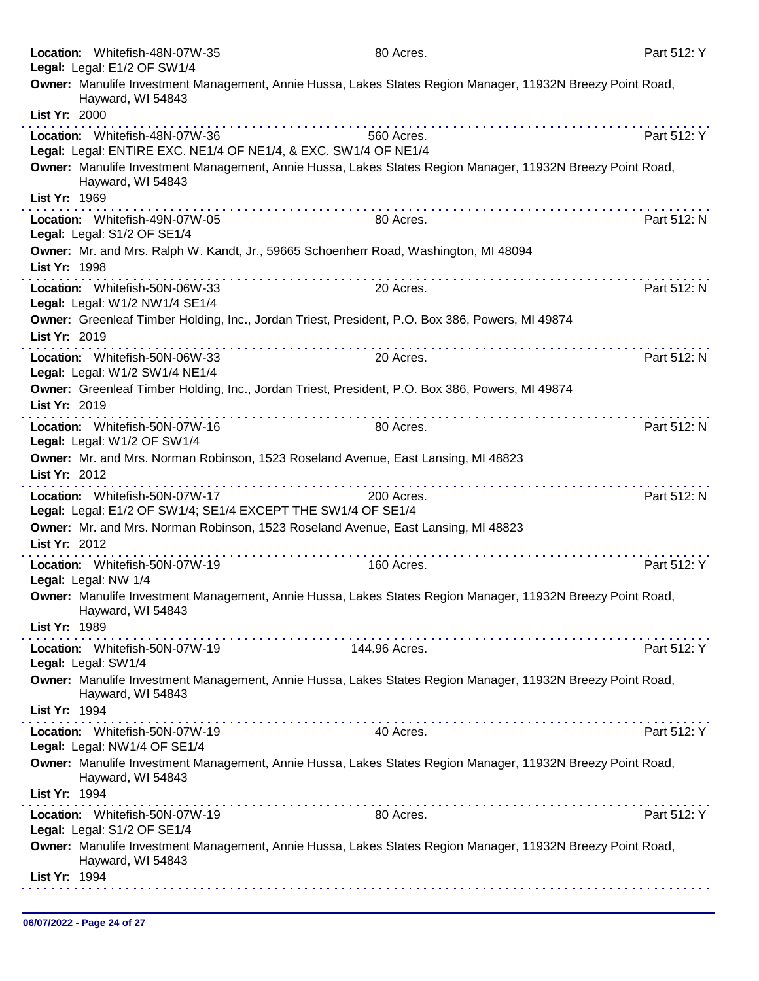|                      | Location: Whitefish-48N-07W-35<br>Legal: Legal: E1/2 OF SW1/4                                     | 80 Acres.                                                                                                  | Part 512: Y |
|----------------------|---------------------------------------------------------------------------------------------------|------------------------------------------------------------------------------------------------------------|-------------|
|                      | Hayward, WI 54843                                                                                 | Owner: Manulife Investment Management, Annie Hussa, Lakes States Region Manager, 11932N Breezy Point Road, |             |
| List Yr: 2000        |                                                                                                   |                                                                                                            |             |
|                      | Location: Whitefish-48N-07W-36<br>Legal: Legal: ENTIRE EXC. NE1/4 OF NE1/4, & EXC. SW1/4 OF NE1/4 | 560 Acres.                                                                                                 | Part 512: Y |
|                      | Hayward, WI 54843                                                                                 | Owner: Manulife Investment Management, Annie Hussa, Lakes States Region Manager, 11932N Breezy Point Road, |             |
| List Yr: 1969        |                                                                                                   |                                                                                                            |             |
|                      | Location: Whitefish-49N-07W-05<br>Legal: Legal: S1/2 OF SE1/4                                     | 80 Acres.                                                                                                  | Part 512: N |
| List Yr: 1998        | Owner: Mr. and Mrs. Ralph W. Kandt, Jr., 59665 Schoenherr Road, Washington, MI 48094              |                                                                                                            |             |
|                      | Location: Whitefish-50N-06W-33<br>Legal: Legal: W1/2 NW1/4 SE1/4                                  | 20 Acres.                                                                                                  | Part 512: N |
| List Yr: 2019        | Owner: Greenleaf Timber Holding, Inc., Jordan Triest, President, P.O. Box 386, Powers, MI 49874   |                                                                                                            |             |
|                      | Location: Whitefish-50N-06W-33<br>Legal: Legal: W1/2 SW1/4 NE1/4                                  | 20 Acres.                                                                                                  | Part 512: N |
|                      | Owner: Greenleaf Timber Holding, Inc., Jordan Triest, President, P.O. Box 386, Powers, MI 49874   |                                                                                                            |             |
| List Yr: 2019        |                                                                                                   |                                                                                                            |             |
|                      | .<br>Location: Whitefish-50N-07W-16<br>Legal: Legal: W1/2 OF SW1/4                                | 80 Acres.                                                                                                  | Part 512: N |
|                      | Owner: Mr. and Mrs. Norman Robinson, 1523 Roseland Avenue, East Lansing, MI 48823                 |                                                                                                            |             |
| List Yr: 2012        |                                                                                                   |                                                                                                            |             |
|                      | Location: Whitefish-50N-07W-17<br>Legal: Legal: E1/2 OF SW1/4; SE1/4 EXCEPT THE SW1/4 OF SE1/4    | 200 Acres.                                                                                                 | Part 512: N |
| List Yr: 2012        | Owner: Mr. and Mrs. Norman Robinson, 1523 Roseland Avenue, East Lansing, MI 48823                 |                                                                                                            |             |
| Legal: Legal: NW 1/4 | a provincia de la provincia de la provincia<br>Location: Whitefish-50N-07W-19                     | 160 Acres.                                                                                                 | Part 512: Y |
|                      | Hayward, WI 54843                                                                                 | Owner: Manulife Investment Management, Annie Hussa, Lakes States Region Manager, 11932N Breezy Point Road, |             |
| List Yr: 1989        |                                                                                                   |                                                                                                            |             |
| Legal: Legal: SW1/4  | Location: Whitefish-50N-07W-19                                                                    | 144.96 Acres.                                                                                              | Part 512: Y |
|                      | Hayward, WI 54843                                                                                 | Owner: Manulife Investment Management, Annie Hussa, Lakes States Region Manager, 11932N Breezy Point Road, |             |
| List Yr: 1994        |                                                                                                   |                                                                                                            |             |
|                      | Location: Whitefish-50N-07W-19<br>Legal: Legal: NW1/4 OF SE1/4                                    | 40 Acres.                                                                                                  | Part 512: Y |
|                      | Hayward, WI 54843                                                                                 | Owner: Manulife Investment Management, Annie Hussa, Lakes States Region Manager, 11932N Breezy Point Road, |             |
| List Yr: 1994        |                                                                                                   |                                                                                                            |             |
|                      | Location: Whitefish-50N-07W-19<br>Legal: Legal: S1/2 OF SE1/4                                     | 80 Acres.                                                                                                  | Part 512: Y |
|                      | Hayward, WI 54843                                                                                 | Owner: Manulife Investment Management, Annie Hussa, Lakes States Region Manager, 11932N Breezy Point Road, |             |
| List Yr: 1994        |                                                                                                   |                                                                                                            |             |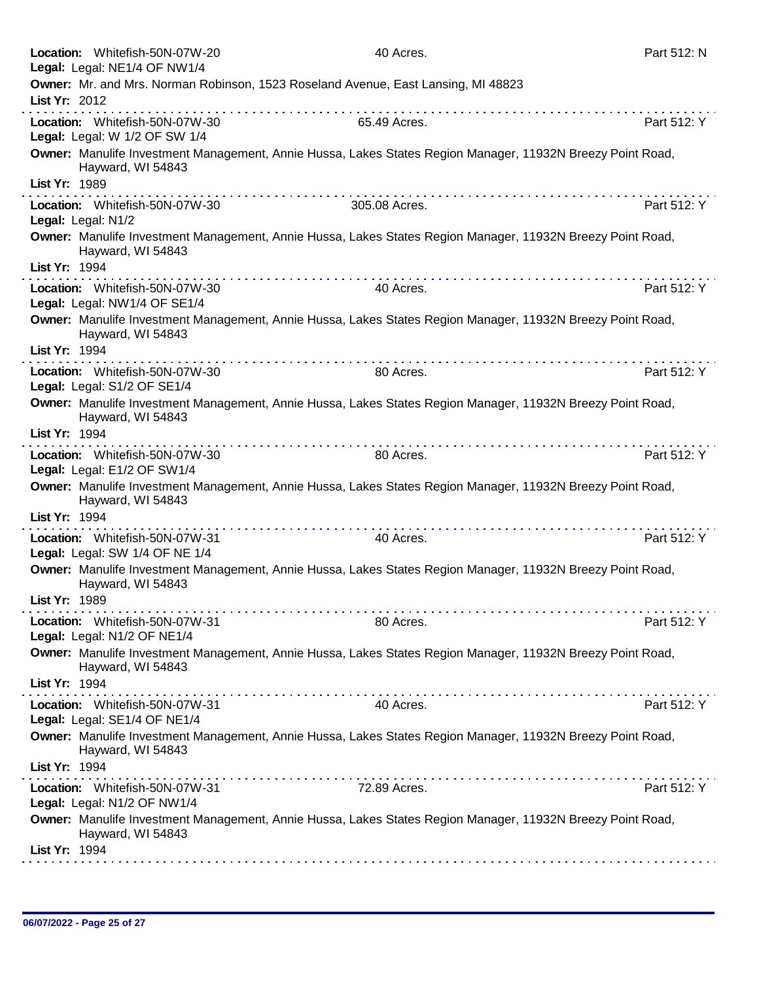|               | Location: Whitefish-50N-07W-20<br>Legal: Legal: NE1/4 OF NW1/4   | 40 Acres.                                                                                                                                                                                                                                                                                                                                                                                                                                                 | Part 512: N |
|---------------|------------------------------------------------------------------|-----------------------------------------------------------------------------------------------------------------------------------------------------------------------------------------------------------------------------------------------------------------------------------------------------------------------------------------------------------------------------------------------------------------------------------------------------------|-------------|
|               |                                                                  | Owner: Mr. and Mrs. Norman Robinson, 1523 Roseland Avenue, East Lansing, MI 48823                                                                                                                                                                                                                                                                                                                                                                         |             |
| List Yr: 2012 |                                                                  |                                                                                                                                                                                                                                                                                                                                                                                                                                                           |             |
|               | Location: Whitefish-50N-07W-30<br>Legal: Legal: W 1/2 OF SW 1/4  | 65.49 Acres.                                                                                                                                                                                                                                                                                                                                                                                                                                              | Part 512: Y |
|               | Hayward, WI 54843                                                | Owner: Manulife Investment Management, Annie Hussa, Lakes States Region Manager, 11932N Breezy Point Road,                                                                                                                                                                                                                                                                                                                                                |             |
| List Yr: 1989 |                                                                  | .                                                                                                                                                                                                                                                                                                                                                                                                                                                         |             |
|               | Location: Whitefish-50N-07W-30<br>Legal: Legal: N1/2             | 305.08 Acres.                                                                                                                                                                                                                                                                                                                                                                                                                                             | Part 512: Y |
| List Yr: 1994 | Hayward, WI 54843                                                | Owner: Manulife Investment Management, Annie Hussa, Lakes States Region Manager, 11932N Breezy Point Road,                                                                                                                                                                                                                                                                                                                                                |             |
|               | Location: Whitefish-50N-07W-30<br>Legal: Legal: NW1/4 OF SE1/4   | 40 Acres.                                                                                                                                                                                                                                                                                                                                                                                                                                                 | Part 512: Y |
|               | Hayward, WI 54843                                                | Owner: Manulife Investment Management, Annie Hussa, Lakes States Region Manager, 11932N Breezy Point Road,                                                                                                                                                                                                                                                                                                                                                |             |
| List Yr: 1994 |                                                                  | $\mathcal{L}^{\mathcal{A}}(\mathcal{A}^{\mathcal{A}}(\mathcal{A}^{\mathcal{A}}(\mathcal{A}^{\mathcal{A}}(\mathcal{A}^{\mathcal{A}}(\mathcal{A}^{\mathcal{A}}(\mathcal{A}^{\mathcal{A}}(\mathcal{A}^{\mathcal{A}}(\mathcal{A}^{\mathcal{A}}(\mathcal{A}^{\mathcal{A}}(\mathcal{A}^{\mathcal{A}}(\mathcal{A}^{\mathcal{A}}(\mathcal{A}^{\mathcal{A}}(\mathcal{A}^{\mathcal{A}}(\mathcal{A}^{\mathcal{A}}(\mathcal{A}^{\mathcal{A}}(\mathcal{A}^{\mathcal{A$ |             |
|               | Location: Whitefish-50N-07W-30<br>Legal: Legal: S1/2 OF SE1/4    | 80 Acres.                                                                                                                                                                                                                                                                                                                                                                                                                                                 | Part 512: Y |
|               | Hayward, WI 54843                                                | Owner: Manulife Investment Management, Annie Hussa, Lakes States Region Manager, 11932N Breezy Point Road,                                                                                                                                                                                                                                                                                                                                                |             |
| List Yr: 1994 |                                                                  | the second complete state of the second complete                                                                                                                                                                                                                                                                                                                                                                                                          |             |
|               | Location: Whitefish-50N-07W-30<br>Legal: Legal: E1/2 OF SW1/4    | 80 Acres.                                                                                                                                                                                                                                                                                                                                                                                                                                                 | Part 512: Y |
|               | Hayward, WI 54843                                                | Owner: Manulife Investment Management, Annie Hussa, Lakes States Region Manager, 11932N Breezy Point Road,                                                                                                                                                                                                                                                                                                                                                |             |
| List Yr: 1994 |                                                                  |                                                                                                                                                                                                                                                                                                                                                                                                                                                           |             |
|               | Location: Whitefish-50N-07W-31<br>Legal: Legal: SW 1/4 OF NE 1/4 | 40 Acres.                                                                                                                                                                                                                                                                                                                                                                                                                                                 | Part 512: Y |
|               | Hayward, WI 54843                                                | Owner: Manulife Investment Management, Annie Hussa, Lakes States Region Manager, 11932N Breezy Point Road,                                                                                                                                                                                                                                                                                                                                                |             |
| List Yr: 1989 |                                                                  |                                                                                                                                                                                                                                                                                                                                                                                                                                                           |             |
|               | Location: Whitefish-50N-07W-31<br>Legal: Legal: N1/2 OF NE1/4    | 80 Acres.                                                                                                                                                                                                                                                                                                                                                                                                                                                 | Part 512: Y |
|               | Hayward, WI 54843                                                | Owner: Manulife Investment Management, Annie Hussa, Lakes States Region Manager, 11932N Breezy Point Road,                                                                                                                                                                                                                                                                                                                                                |             |
| List Yr: 1994 |                                                                  |                                                                                                                                                                                                                                                                                                                                                                                                                                                           |             |
|               | Location: Whitefish-50N-07W-31<br>Legal: Legal: SE1/4 OF NE1/4   | 40 Acres.                                                                                                                                                                                                                                                                                                                                                                                                                                                 | Part 512: Y |
| List Yr: 1994 | Hayward, WI 54843                                                | Owner: Manulife Investment Management, Annie Hussa, Lakes States Region Manager, 11932N Breezy Point Road,                                                                                                                                                                                                                                                                                                                                                |             |
|               |                                                                  | .                                                                                                                                                                                                                                                                                                                                                                                                                                                         |             |
|               | Location: Whitefish-50N-07W-31<br>Legal: Legal: N1/2 OF NW1/4    | 72.89 Acres.                                                                                                                                                                                                                                                                                                                                                                                                                                              | Part 512: Y |
|               | Hayward, WI 54843                                                | Owner: Manulife Investment Management, Annie Hussa, Lakes States Region Manager, 11932N Breezy Point Road,                                                                                                                                                                                                                                                                                                                                                |             |
| List Yr: 1994 |                                                                  |                                                                                                                                                                                                                                                                                                                                                                                                                                                           |             |